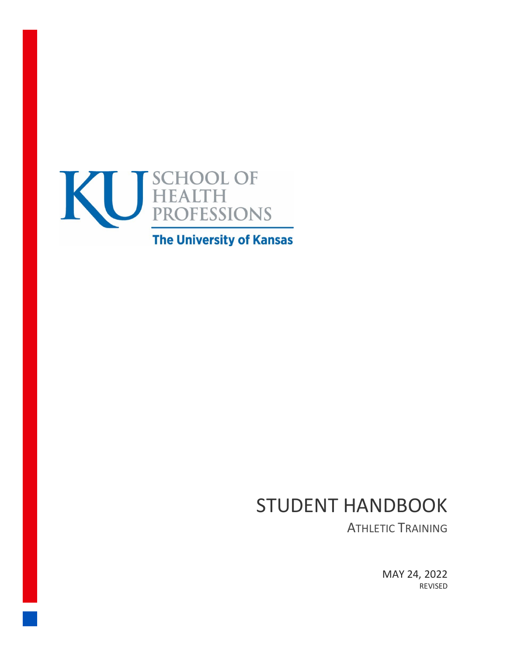

# **The University of Kansas**

# STUDENT HANDBOOK

ATHLETIC TRAINING

MAY 24, 2022 REVISED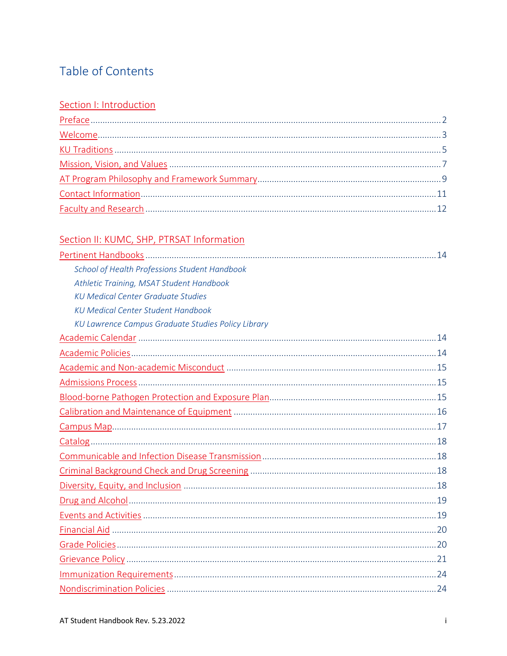# Table of Contents

#### Section I: Introduction

# Section II: KUMC, SHP, PTRSAT Information

| School of Health Professions Student Handbook      |  |
|----------------------------------------------------|--|
| Athletic Training, MSAT Student Handbook           |  |
| <b>KU Medical Center Graduate Studies</b>          |  |
| <b>KU Medical Center Student Handbook</b>          |  |
| KU Lawrence Campus Graduate Studies Policy Library |  |
|                                                    |  |
|                                                    |  |
|                                                    |  |
|                                                    |  |
|                                                    |  |
|                                                    |  |
|                                                    |  |
|                                                    |  |
|                                                    |  |
|                                                    |  |
|                                                    |  |
|                                                    |  |
|                                                    |  |
|                                                    |  |
|                                                    |  |
|                                                    |  |
|                                                    |  |
|                                                    |  |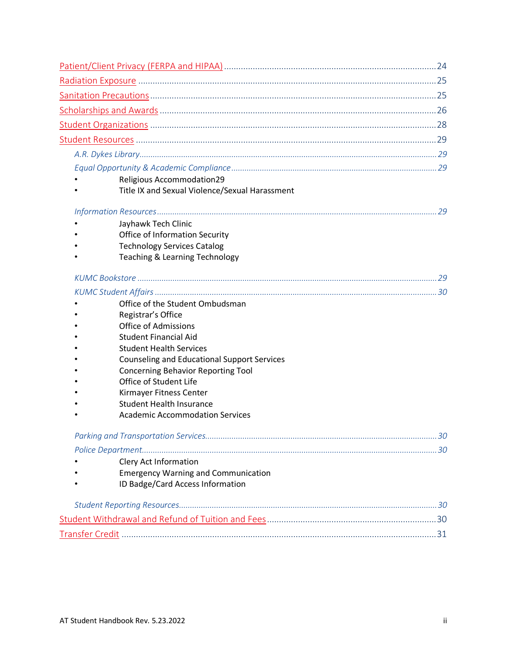| Religious Accommodation29<br>Title IX and Sexual Violence/Sexual Harassment                                                                     |  |
|-------------------------------------------------------------------------------------------------------------------------------------------------|--|
|                                                                                                                                                 |  |
| Jayhawk Tech Clinic<br><b>Office of Information Security</b><br><b>Technology Services Catalog</b><br><b>Teaching &amp; Learning Technology</b> |  |
|                                                                                                                                                 |  |
|                                                                                                                                                 |  |
| Office of the Student Ombudsman                                                                                                                 |  |
| Registrar's Office                                                                                                                              |  |
| <b>Office of Admissions</b><br><b>Student Financial Aid</b>                                                                                     |  |
| <b>Student Health Services</b>                                                                                                                  |  |
| <b>Counseling and Educational Support Services</b>                                                                                              |  |
| <b>Concerning Behavior Reporting Tool</b>                                                                                                       |  |
| Office of Student Life                                                                                                                          |  |
| Kirmayer Fitness Center                                                                                                                         |  |
| <b>Student Health Insurance</b>                                                                                                                 |  |
| <b>Academic Accommodation Services</b>                                                                                                          |  |
|                                                                                                                                                 |  |
|                                                                                                                                                 |  |
| <b>Clery Act Information</b>                                                                                                                    |  |
| <b>Emergency Warning and Communication</b>                                                                                                      |  |
| ID Badge/Card Access Information                                                                                                                |  |
|                                                                                                                                                 |  |
|                                                                                                                                                 |  |
|                                                                                                                                                 |  |
|                                                                                                                                                 |  |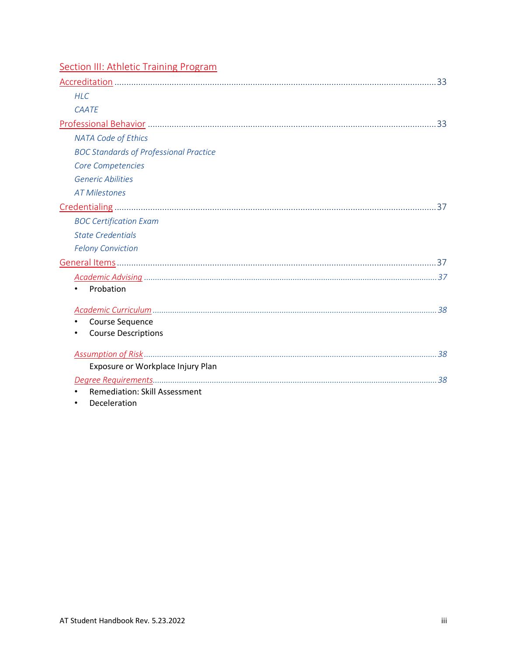| <b>Section III: Athletic Training Program</b> |  |
|-----------------------------------------------|--|
|                                               |  |
| <b>HLC</b>                                    |  |
| <b>CAATE</b>                                  |  |
|                                               |  |
| <b>NATA Code of Ethics</b>                    |  |
| <b>BOC Standards of Professional Practice</b> |  |
| Core Competencies                             |  |
| <b>Generic Abilities</b>                      |  |
| <b>AT Milestones</b>                          |  |
|                                               |  |
| <b>BOC Certification Exam</b>                 |  |
| <b>State Credentials</b>                      |  |
| <b>Felony Conviction</b>                      |  |
|                                               |  |
|                                               |  |
| Probation                                     |  |
|                                               |  |
| Course Sequence                               |  |
| <b>Course Descriptions</b>                    |  |
|                                               |  |
| Exposure or Workplace Injury Plan             |  |
|                                               |  |
| <b>Remediation: Skill Assessment</b>          |  |
| Deceleration                                  |  |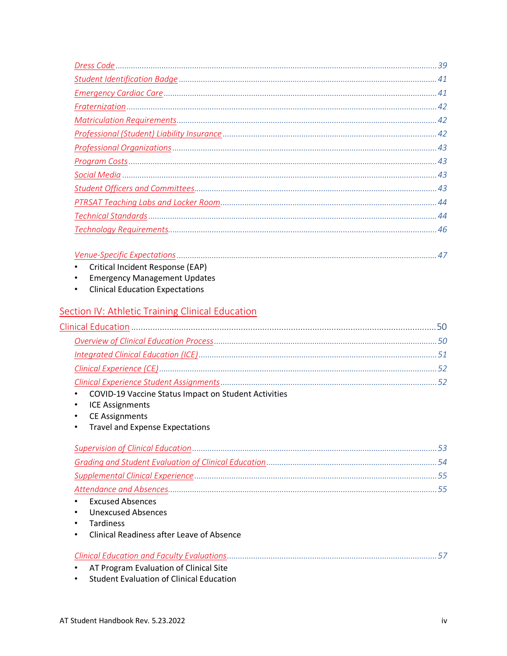| Critical Incident Response (EAP)                        |  |
|---------------------------------------------------------|--|
| <b>Emergency Management Updates</b><br>$\bullet$        |  |
| <b>Clinical Education Expectations</b><br>$\bullet$     |  |
| <b>Section IV: Athletic Training Clinical Education</b> |  |
|                                                         |  |
|                                                         |  |
|                                                         |  |
|                                                         |  |
|                                                         |  |
| COVID-19 Vaccine Status Impact on Student Activities    |  |
| <b>ICE Assignments</b><br>$\bullet$                     |  |
| <b>CE Assignments</b><br>٠                              |  |
| <b>Travel and Expense Expectations</b>                  |  |
|                                                         |  |
|                                                         |  |
|                                                         |  |
|                                                         |  |
| <b>Excused Absences</b>                                 |  |
| <b>Unexcused Absences</b>                               |  |
| <b>Tardiness</b>                                        |  |
| <b>Clinical Readiness after Leave of Absence</b>        |  |
|                                                         |  |
| AT Program Evaluation of Clinical Site                  |  |
| <b>Student Evaluation of Clinical Education</b>         |  |
|                                                         |  |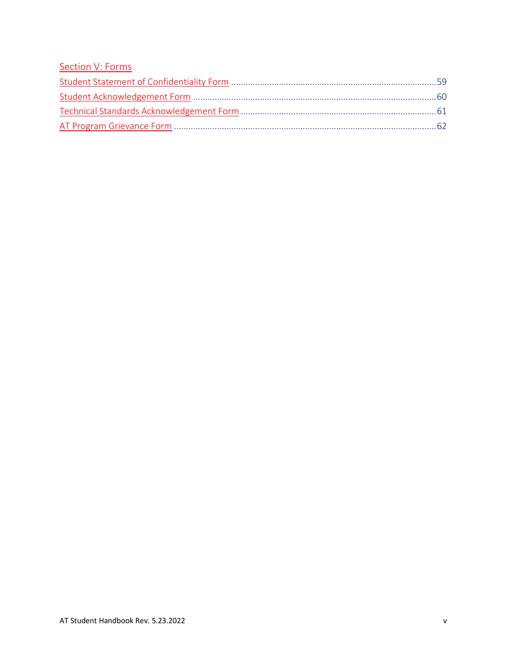### [Section V: Forms](#page-63-0)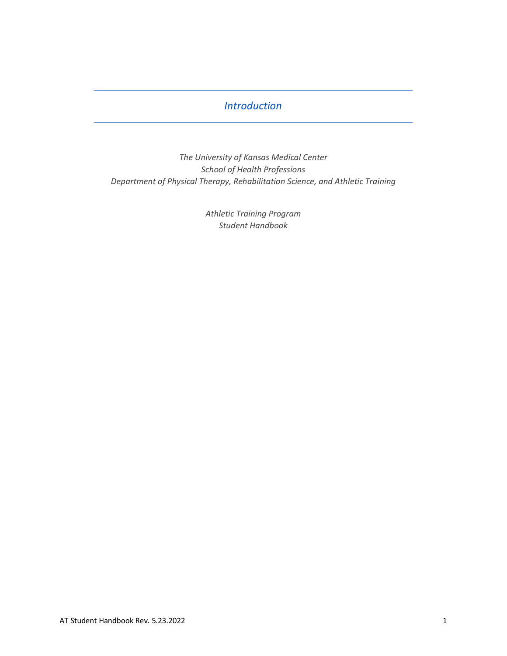### *Introduction*

<span id="page-6-0"></span>*The University of Kansas Medical Center School of Health Professions Department of Physical Therapy, Rehabilitation Science, and Athletic Training*

> *Athletic Training Program Student Handbook*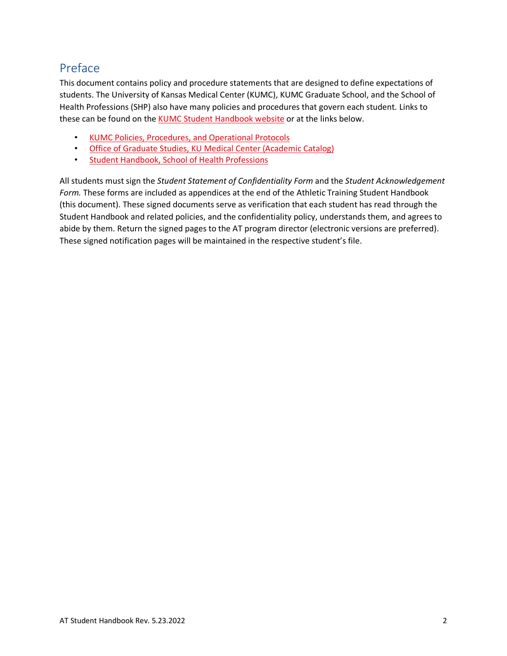# <span id="page-7-0"></span>Preface

This document contains policy and procedure statements that are designed to define expectations of students. The University of Kansas Medical Center (KUMC), KUMC Graduate School, and the School of Health Professions (SHP) also have many policies and procedures that govern each student. Links to these can be found on the [KUMC Student Handbook website](http://www.kumc.edu/studenthandbook/) or at the links below.

- [KUMC Policies, Procedures, and Operational Protocols](https://kumc-publicpoliciesandprocedures.policystat.com/)
- [Office of Graduate Studies, KU Medical Center \(Academic Catalog\)](https://catalog.ku.edu/graduate-studies/kumc/#regulationstext)
- [Student Handbook, School of Health Professions](https://www.kumc.edu/school-of-health-professions/academics/student-handbook.html)

All students must sign the *Student Statement of Confidentiality Form* and the *Student Acknowledgement Form.* These forms are included as appendices at the end of the Athletic Training Student Handbook (this document). These signed documents serve as verification that each student has read through the Student Handbook and related policies, and the confidentiality policy, understands them, and agrees to abide by them. Return the signed pages to the AT program director (electronic versions are preferred). These signed notification pages will be maintained in the respective student's file.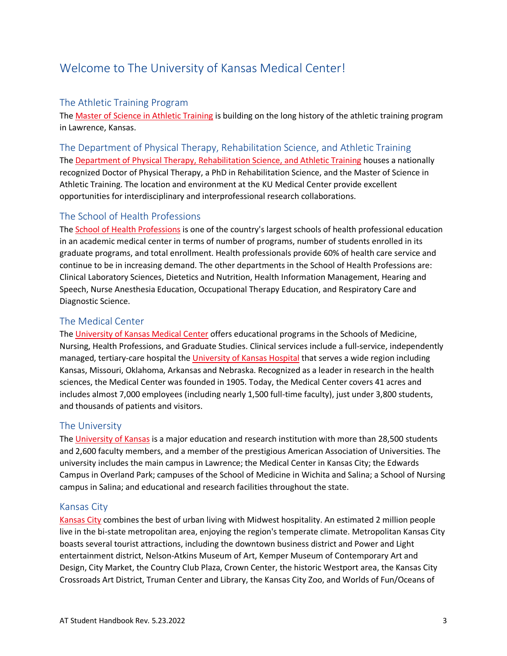# <span id="page-8-0"></span>Welcome to The University of Kansas Medical Center!

#### The Athletic Training Program

The [Master of Science in Athletic Training](https://www.kumc.edu/school-of-health-professions/academics/departments/physical-therapy-rehabilitation-science-and-athletic-training/academics/master-of-science-in-athletic-training.html) is building on the long history of the athletic training program in Lawrence, Kansas.

The Department of Physical Therapy, Rehabilitation Science, and Athletic Training The [Department of Physical Therapy, Rehabilitation Science, and Athletic Training](https://www.kumc.edu/school-of-health-professions/academics/departments/physical-therapy-rehabilitation-science-and-athletic-training.html) houses a nationally recognized Doctor of Physical Therapy, a PhD in Rehabilitation Science, and the Master of Science in Athletic Training. The location and environment at the KU Medical Center provide excellent opportunities for interdisciplinary and interprofessional research collaborations.

#### The School of Health Professions

The [School of Health Professions](http://www.kumc.edu/school-of-health-professions.html) is one of the country's largest schools of health professional education in an academic medical center in terms of number of programs, number of students enrolled in its graduate programs, and total enrollment. Health professionals provide 60% of health care service and continue to be in increasing demand. The other departments in the School of Health Professions are: Clinical Laboratory Sciences, Dietetics and Nutrition, Health Information Management, Hearing and Speech, Nurse Anesthesia Education, Occupational Therapy Education, and Respiratory Care and Diagnostic Science.

#### The Medical Center

The [University of Kansas Medical Center](http://www.kumc.edu/) offers educational programs in the Schools of Medicine, Nursing, Health Professions, and Graduate Studies. Clinical services include a full-service, independently managed, tertiary-care hospital th[e University of Kansas Hospital](https://www.kansashealthsystem.com/) that serves a wide region including Kansas, Missouri, Oklahoma, Arkansas and Nebraska. Recognized as a leader in research in the health sciences, the Medical Center was founded in 1905. Today, the Medical Center covers 41 acres and includes almost 7,000 employees (including nearly 1,500 full-time faculty), just under 3,800 students, and thousands of patients and visitors.

#### The University

The [University of Kansas](http://www.ku.edu/) is a major education and research institution with more than 28,500 students and 2,600 faculty members, and a member of the prestigious American Association of Universities. The university includes the main campus in Lawrence; the Medical Center in Kansas City; the Edwards Campus in Overland Park; campuses of the School of Medicine in Wichita and Salina; a School of Nursing campus in Salina; and educational and research facilities throughout the state.

#### Kansas City

[Kansas City](http://www.visitkc.com/) combines the best of urban living with Midwest hospitality. An estimated 2 million people live in the bi-state metropolitan area, enjoying the region's temperate climate. Metropolitan Kansas City boasts several tourist attractions, including the downtown business district and Power and Light entertainment district, Nelson-Atkins Museum of Art, Kemper Museum of Contemporary Art and Design, City Market, the Country Club Plaza, Crown Center, the historic Westport area, the Kansas City Crossroads Art District, Truman Center and Library, the Kansas City Zoo, and Worlds of Fun/Oceans of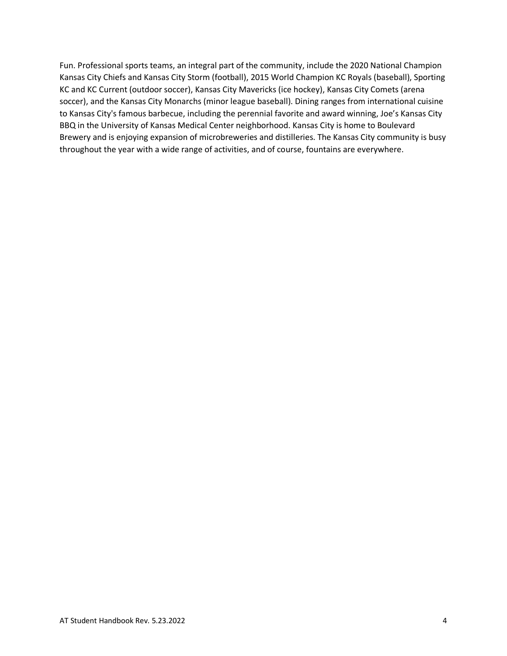Fun. Professional sports teams, an integral part of the community, include the 2020 National Champion Kansas City Chiefs and Kansas City Storm (football), 2015 World Champion KC Royals (baseball), Sporting KC and KC Current (outdoor soccer), Kansas City Mavericks (ice hockey), Kansas City Comets (arena soccer), and the Kansas City Monarchs (minor league baseball). Dining ranges from international cuisine to Kansas City's famous barbecue, including the perennial favorite and award winning, Joe's Kansas City BBQ in the University of Kansas Medical Center neighborhood. Kansas City is home to Boulevard Brewery and is enjoying expansion of microbreweries and distilleries. The Kansas City community is busy throughout the year with a wide range of activities, and of course, fountains are everywhere.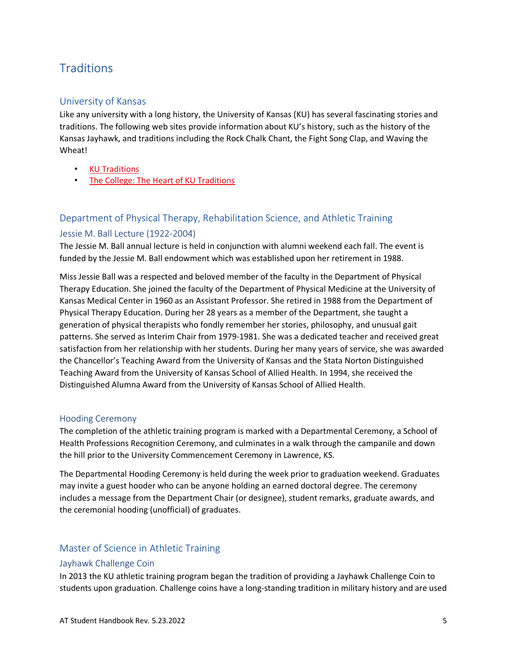# <span id="page-10-0"></span>**Traditions**

#### University of Kansas

Like any university with a long history, the University of Kansas (KU) has several fascinating stories and traditions. The following web sites provide information about KU's history, such as the history of the Kansas Jayhawk, and traditions including the Rock Chalk Chant, the Fight Song Clap, and Waving the Wheat!

- [KU Traditions](https://kuathletics.com/traditions/)
- [The College: The Heart of KU Traditions](https://blog-college.ku.edu/generations-of-traditions/)

### Department of Physical Therapy, Rehabilitation Science, and Athletic Training Jessie M. Ball Lecture (1922-2004)

The Jessie M. Ball annual lecture is held in conjunction with alumni weekend each fall. The event is funded by the Jessie M. Ball endowment which was established upon her retirement in 1988.

Miss Jessie Ball was a respected and beloved member of the faculty in the Department of Physical Therapy Education. She joined the faculty of the Department of Physical Medicine at the University of Kansas Medical Center in 1960 as an Assistant Professor. She retired in 1988 from the Department of Physical Therapy Education. During her 28 years as a member of the Department, she taught a generation of physical therapists who fondly remember her stories, philosophy, and unusual gait patterns. She served as Interim Chair from 1979-1981. She was a dedicated teacher and received great satisfaction from her relationship with her students. During her many years of service, she was awarded the Chancellor's Teaching Award from the University of Kansas and the Stata Norton Distinguished Teaching Award from the University of Kansas School of Allied Health. In 1994, she received the Distinguished Alumna Award from the University of Kansas School of Allied Health.

#### Hooding Ceremony

The completion of the athletic training program is marked with a Departmental Ceremony, a School of Health Professions Recognition Ceremony, and culminates in a walk through the campanile and down the hill prior to the University Commencement Ceremony in Lawrence, KS.

The Departmental Hooding Ceremony is held during the week prior to graduation weekend. Graduates may invite a guest hooder who can be anyone holding an earned doctoral degree. The ceremony includes a message from the Department Chair (or designee), student remarks, graduate awards, and the ceremonial hooding (unofficial) of graduates.

#### Master of Science in Athletic Training

#### Jayhawk Challenge Coin

In 2013 the KU athletic training program began the tradition of providing a Jayhawk Challenge Coin to students upon graduation. Challenge coins have a long-standing tradition in military history and are used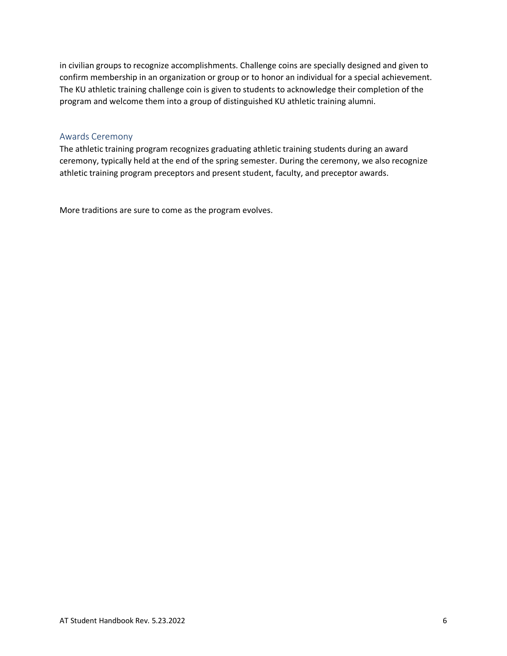in civilian groups to recognize accomplishments. Challenge coins are specially designed and given to confirm membership in an organization or group or to honor an individual for a special achievement. The KU athletic training challenge coin is given to students to acknowledge their completion of the program and welcome them into a group of distinguished KU athletic training alumni.

#### Awards Ceremony

The athletic training program recognizes graduating athletic training students during an award ceremony, typically held at the end of the spring semester. During the ceremony, we also recognize athletic training program preceptors and present student, faculty, and preceptor awards.

More traditions are sure to come as the program evolves.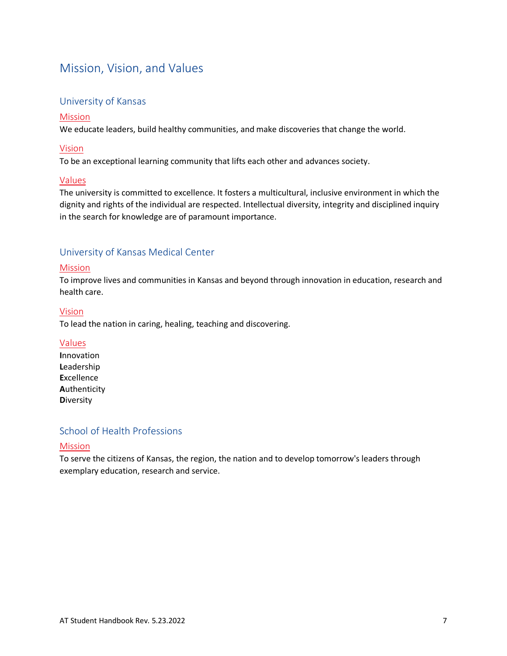# <span id="page-12-0"></span>Mission, Vision, and Values

#### University of Kansas

#### [Mission](https://jayhawksrising.ku.edu/)

We educate leaders, build healthy communities, and make discoveries that change the world.

#### [Vision](https://jayhawksrising.ku.edu/)

To be an exceptional learning community that lifts each other and advances society.

#### [Values](https://chancellor.ku.edu/mission)

The university is committed to excellence. It fosters a multicultural, inclusive environment in which the dignity and rights of the individual are respected. Intellectual diversity, integrity and disciplined inquiry in the search for knowledge are of paramount importance.

#### University of Kansas Medical Center

#### [Mission](https://www.kumc.edu/about/leadership/strategic-plan.html)

To improve lives and communities in Kansas and beyond through innovation in education, research and health care.

#### [Vision](https://www.kumc.edu/about/leadership/strategic-plan.html)

To lead the nation in caring, healing, teaching and discovering.

#### [Values](https://www.kumc.edu/about/leadership/strategic-plan.html)

**I**nnovation **L**eadership **E**xcellence **A**uthenticity **D**iversity

#### School of Health Professions

#### [Mission](https://www.kumc.edu/school-of-health-professions/about/history.html)

To serve the citizens of Kansas, the region, the nation and to develop tomorrow's leaders through exemplary education, research and service.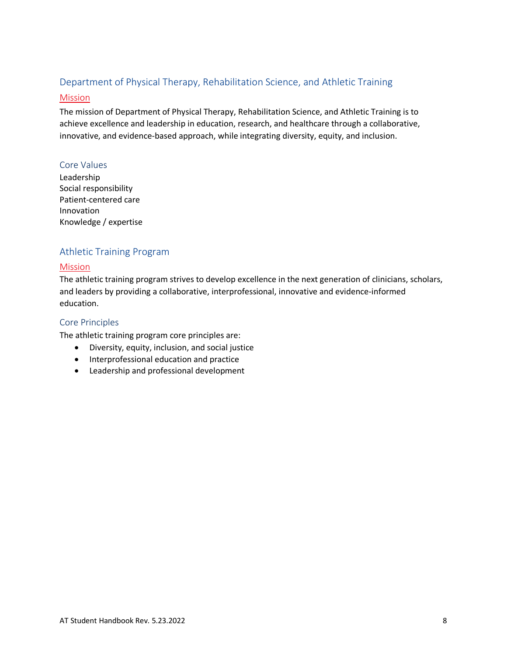# Department of Physical Therapy, Rehabilitation Science, and Athletic Training

#### [Mission](https://www.kumc.edu/school-of-health-professions/academics/departments/physical-therapy-rehabilitation-science-and-athletic-training.html)

The mission of Department of Physical Therapy, Rehabilitation Science, and Athletic Training is to achieve excellence and leadership in education, research, and healthcare through a collaborative, innovative, and evidence-based approach, while integrating diversity, equity, and inclusion.

#### Core Values

Leadership Social responsibility Patient-centered care Innovation Knowledge / expertise

#### Athletic Training Program

#### [Mission](https://www.kumc.edu/school-of-health-professions/academics/departments/physical-therapy-rehabilitation-science-and-athletic-training/academics/master-of-science-in-athletic-training.html)

The athletic training program strives to develop excellence in the next generation of clinicians, scholars, and leaders by providing a collaborative, interprofessional, innovative and evidence-informed education.

#### Core Principles

The athletic training program core principles are:

- Diversity, equity, inclusion, and social justice
- Interprofessional education and practice
- Leadership and professional development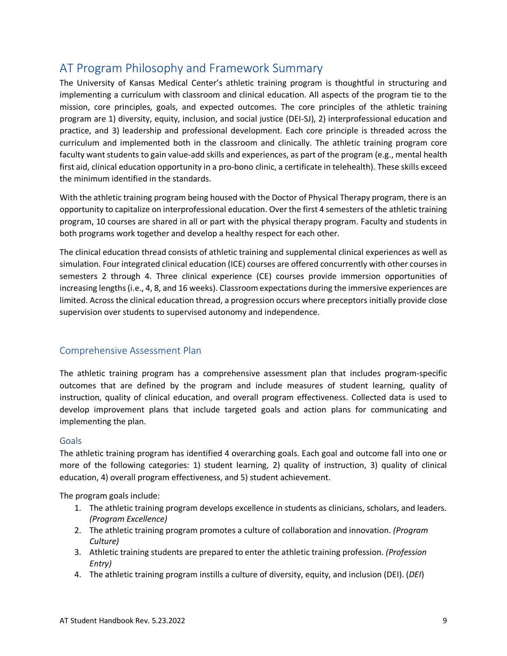# <span id="page-14-0"></span>AT Program Philosophy and Framework Summary

The University of Kansas Medical Center's athletic training program is thoughtful in structuring and implementing a curriculum with classroom and clinical education. All aspects of the program tie to the mission, core principles, goals, and expected outcomes. The core principles of the athletic training program are 1) diversity, equity, inclusion, and social justice (DEI-SJ), 2) interprofessional education and practice, and 3) leadership and professional development. Each core principle is threaded across the curriculum and implemented both in the classroom and clinically. The athletic training program core faculty want students to gain value-add skills and experiences, as part of the program (e.g., mental health first aid, clinical education opportunity in a pro-bono clinic, a certificate in telehealth). These skills exceed the minimum identified in the standards.

With the athletic training program being housed with the Doctor of Physical Therapy program, there is an opportunity to capitalize on interprofessional education. Over the first 4 semesters of the athletic training program, 10 courses are shared in all or part with the physical therapy program. Faculty and students in both programs work together and develop a healthy respect for each other.

The clinical education thread consists of athletic training and supplemental clinical experiences as well as simulation. Four integrated clinical education (ICE) courses are offered concurrently with other courses in semesters 2 through 4. Three clinical experience (CE) courses provide immersion opportunities of increasing lengths (i.e., 4, 8, and 16 weeks). Classroom expectations during the immersive experiences are limited. Across the clinical education thread, a progression occurs where preceptors initially provide close supervision over students to supervised autonomy and independence.

#### Comprehensive Assessment Plan

The athletic training program has a comprehensive assessment plan that includes program-specific outcomes that are defined by the program and include measures of student learning, quality of instruction, quality of clinical education, and overall program effectiveness. Collected data is used to develop improvement plans that include targeted goals and action plans for communicating and implementing the plan.

#### Goals

The athletic training program has identified 4 overarching goals. Each goal and outcome fall into one or more of the following categories: 1) student learning, 2) quality of instruction, 3) quality of clinical education, 4) overall program effectiveness, and 5) student achievement.

The program goals include:

- 1. The athletic training program develops excellence in students as clinicians, scholars, and leaders. *(Program Excellence)*
- 2. The athletic training program promotes a culture of collaboration and innovation. *(Program Culture)*
- 3. Athletic training students are prepared to enter the athletic training profession. *(Profession Entry)*
- 4. The athletic training program instills a culture of diversity, equity, and inclusion (DEI). (*DEI*)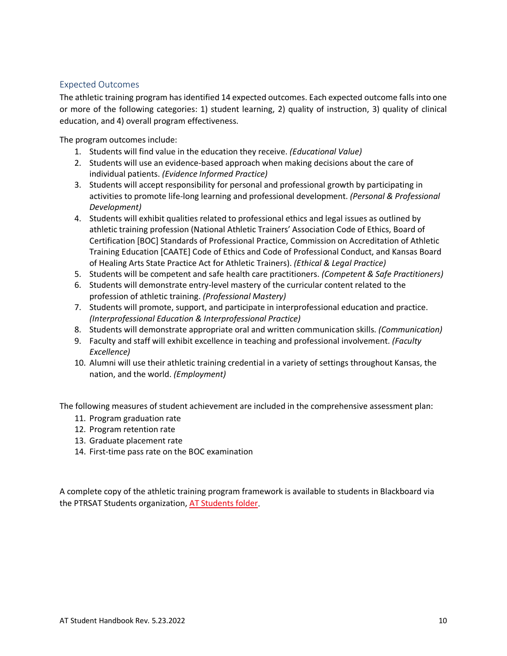#### Expected Outcomes

The athletic training program has identified 14 expected outcomes. Each expected outcome falls into one or more of the following categories: 1) student learning, 2) quality of instruction, 3) quality of clinical education, and 4) overall program effectiveness.

The program outcomes include:

- 1. Students will find value in the education they receive. *(Educational Value)*
- 2. Students will use an evidence-based approach when making decisions about the care of individual patients. *(Evidence Informed Practice)*
- 3. Students will accept responsibility for personal and professional growth by participating in activities to promote life-long learning and professional development. *(Personal & Professional Development)*
- 4. Students will exhibit qualities related to professional ethics and legal issues as outlined by athletic training profession (National Athletic Trainers' Association Code of Ethics, Board of Certification [BOC] Standards of Professional Practice, Commission on Accreditation of Athletic Training Education [CAATE] Code of Ethics and Code of Professional Conduct, and Kansas Board of Healing Arts State Practice Act for Athletic Trainers). *(Ethical & Legal Practice)*
- 5. Students will be competent and safe health care practitioners. *(Competent & Safe Practitioners)*
- 6. Students will demonstrate entry-level mastery of the curricular content related to the profession of athletic training. *(Professional Mastery)*
- 7. Students will promote, support, and participate in interprofessional education and practice. *(Interprofessional Education & Interprofessional Practice)*
- 8. Students will demonstrate appropriate oral and written communication skills. *(Communication)*
- 9. Faculty and staff will exhibit excellence in teaching and professional involvement. *(Faculty Excellence)*
- 10. Alumni will use their athletic training credential in a variety of settings throughout Kansas, the nation, and the world. *(Employment)*

The following measures of student achievement are included in the comprehensive assessment plan:

- 11. Program graduation rate
- 12. Program retention rate
- 13. Graduate placement rate
- 14. First-time pass rate on the BOC examination

A complete copy of the athletic training program framework is available to students in Blackboard via the PTRSAT Students organization[, AT Students folder.](https://bb.kumc.edu/ultra/organizations/_30758_1/cl/outline)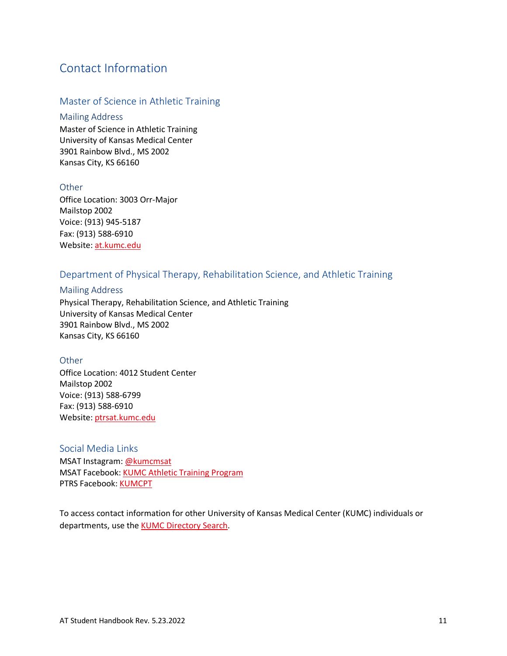### Contact Information

#### Master of Science in Athletic Training

#### Mailing Address

Master of Science in Athletic Training University of Kansas Medical Center 3901 Rainbow Blvd., MS 2002 Kansas City, KS 66160

#### **Other**

Office Location: 3003 Orr-Major Mailstop 2002 Voice: (913) 945-5187 Fax: (913) 588-6910 Website[: at.kumc.edu](https://www.kumc.edu/school-of-health-professions/physical-therapy-and-rehabilitation-science/ms-in-athletic-training.html)

#### Department of Physical Therapy, Rehabilitation Science, and Athletic Training

#### Mailing Address

Physical Therapy, Rehabilitation Science, and Athletic Training University of Kansas Medical Center 3901 Rainbow Blvd., MS 2002 Kansas City, KS 66160

#### **Other**

Office Location: 4012 Student Center Mailstop 2002 Voice: (913) 588-6799 Fax: (913) 588-6910 Website[: ptrsat.kumc.edu](https://www.kumc.edu/school-of-health-professions/academics/departments/physical-therapy-rehabilitation-science-and-athletic-training/academics/doctor-of-physical-therapy.html) 

#### Social Media Links

MSAT Instagram: [@kumcmsat](https://www.instagram.com/kumcmsat/) MSAT Facebook: [KUMC Athletic Training Program](https://www.facebook.com/kumcmsat) PTRS Facebook: [KUMCPT](https://www.facebook.com/KUMCPT)

To access contact information for other University of Kansas Medical Center (KUMC) individuals or departments, use the **KUMC Directory Search**.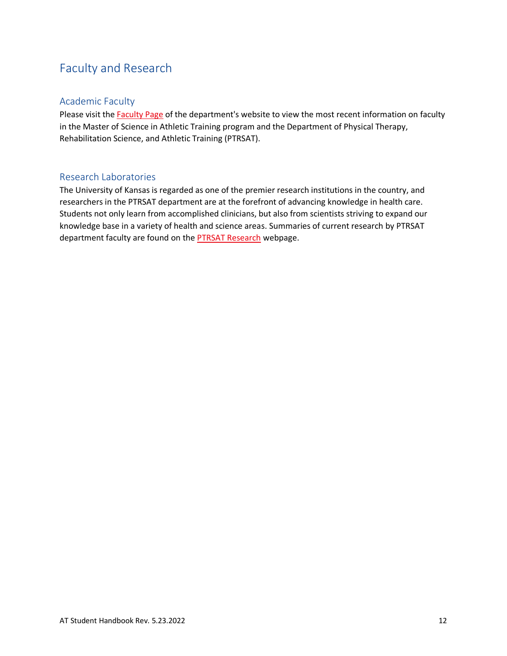# <span id="page-17-0"></span>Faculty and Research

#### Academic Faculty

Please visit the **Faculty Page** of the department's website to view the most recent information on faculty in the Master of Science in Athletic Training program and the Department of Physical Therapy, Rehabilitation Science, and Athletic Training (PTRSAT).

#### Research Laboratories

The University of Kansas is regarded as one of the premier research institutions in the country, and researchers in the PTRSAT department are at the forefront of advancing knowledge in health care. Students not only learn from accomplished clinicians, but also from scientists striving to expand our knowledge base in a variety of health and science areas. Summaries of current research by PTRSAT department faculty are found on the **PTRSAT Research** webpage.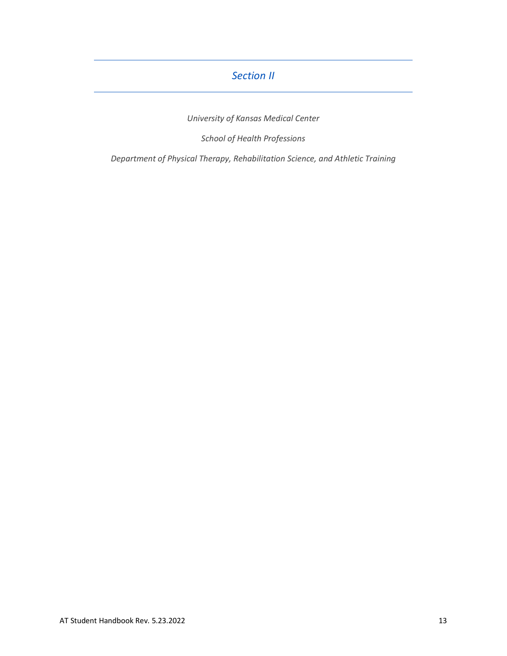### *Section II*

*University of Kansas Medical Center*

*School of Health Professions*

<span id="page-18-0"></span>*Department of Physical Therapy, Rehabilitation Science, and Athletic Training*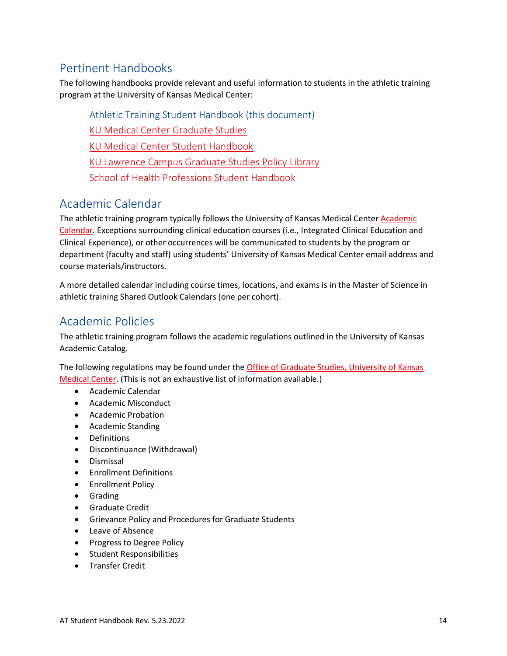## <span id="page-19-0"></span>Pertinent Handbooks

The following handbooks provide relevant and useful information to students in the athletic training program at the University of Kansas Medical Center:

Athletic Training Student Handbook (this document) [KU Medical Center Graduate Studies](https://catalog.ku.edu/graduate-studies/kumc/) [KU Medical Center Student Handbook](https://www.kumc.edu/student-handbook.html) [KU Lawrence Campus Graduate Studies Policy Library](https://policy.ku.edu/office/Graduate-Studies) [School of Health Professions Student Handbook](https://www.kumc.edu/school-of-health-professions/academics/student-handbook.html)

### <span id="page-19-1"></span>Academic Calendar

The athletic training program typically follows the University of Kansas Medical Center [Academic](http://www.kumc.edu/student-affairs/registrars-office/current-students/academic-calendar.html)  [Calendar.](http://www.kumc.edu/student-affairs/registrars-office/current-students/academic-calendar.html) Exceptions surrounding clinical education courses (i.e., Integrated Clinical Education and Clinical Experience), or other occurrences will be communicated to students by the program or department (faculty and staff) using students' University of Kansas Medical Center email address and course materials/instructors.

A more detailed calendar including course times, locations, and exams is in the Master of Science in athletic training Shared Outlook Calendars (one per cohort).

# <span id="page-19-2"></span>Academic Policies

The athletic training program follows the academic regulations outlined in the University of Kansas Academic Catalog.

The following regulations may be found under the **Office of Graduate Studies, University of Kansas** [Medical Center.](https://catalog.ku.edu/graduate-studies/kumc/#regulationstext) (This is not an exhaustive list of information available.)

- Academic Calendar
- Academic Misconduct
- Academic Probation
- Academic Standing
- Definitions
- Discontinuance (Withdrawal)
- Dismissal
- Enrollment Definitions
- Enrollment Policy
- Grading
- Graduate Credit
- Grievance Policy and Procedures for Graduate Students
- Leave of Absence
- Progress to Degree Policy
- Student Responsibilities
- Transfer Credit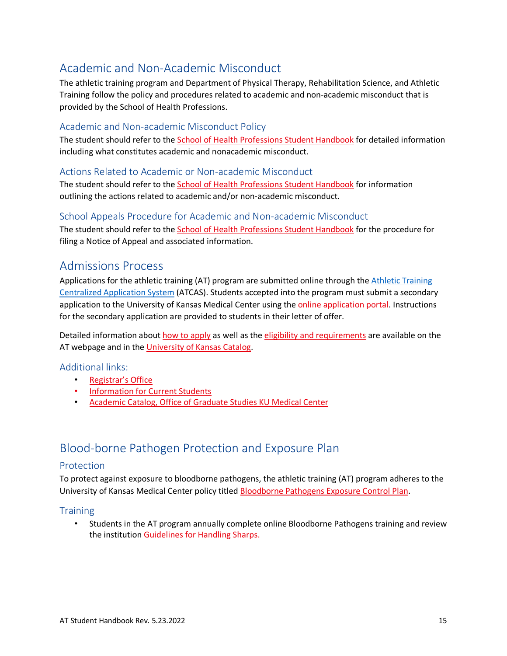# <span id="page-20-0"></span>Academic and Non-Academic Misconduct

The athletic training program and Department of Physical Therapy, Rehabilitation Science, and Athletic Training follow the policy and procedures related to academic and non-academic misconduct that is provided by the School of Health Professions.

#### Academic and Non-academic Misconduct Policy

The student should refer to the [School of Health Professions Student Handbook](https://www.kumc.edu/school-of-health-professions/academics/student-handbook.html#acadmisconduct) for detailed information including what constitutes academic and nonacademic misconduct.

#### Actions Related to Academic or Non-academic Misconduct

The student should refer to the [School of Health Professions Student Handbook](https://www.kumc.edu/school-of-health-professions/academics/student-handbook.html#misconductactions) for information outlining the actions related to academic and/or non-academic misconduct.

#### School Appeals Procedure for Academic and Non-academic Misconduct

The student should refer to the [School of Health Professions Student Handbook](https://www.kumc.edu/school-of-health-professions/academics/student-handbook.html#appealprocedure) for the procedure for filing a Notice of Appeal and associated information.

### <span id="page-20-1"></span>Admissions Process

Applications for the athletic training (AT) program are submitted online through the Athletic Training [Centralized Application System](https://atcas.liaisoncas.com/applicant-ux/#/login) (ATCAS). Students accepted into the program must submit a secondary application to the University of Kansas Medical Center using the [online application portal.](https://gograd.ku.edu/apply/?sr=ca7d45b3-1f3c-471c-89d2-5abe042c93bb) Instructions for the secondary application are provided to students in their letter of offer.

Detailed information abou[t how to apply](http://www.kumc.edu/school-of-health-professions/physical-therapy-and-rehabilitation-science/ms-in-athletic-training/how-to-apply.html) as well as the [eligibility and requirements](https://www.kumc.edu/school-of-health-professions/academics/departments/physical-therapy-rehabilitation-science-and-athletic-training/academics/master-of-science-in-athletic-training/admission-requirements.html) are available on the AT webpage and in the [University of Kansas Catalog.](https://catalog.ku.edu/health-professions/physical-therapy-rehabilitation-science/mat/#admissionstext)

#### Additional links:

- [Registrar's Office](http://www.kumc.edu/student-affairs/registrars-office.html)
- [Information for Current Students](https://www.kumc.edu/current-students.html)
- [Academic Catalog, Office of Graduate Studies KU Medical Center](https://catalog.ku.edu/graduate-studies/kumc/#admissiontext)

### <span id="page-20-2"></span>Blood-borne Pathogen Protection and Exposure Plan

#### Protection

To protect against exposure to bloodborne pathogens, the athletic training (AT) program adheres to the University of Kansas Medical Center policy titled [Bloodborne Pathogens Exposure Control Plan.](https://kumc.policystat.com/policy/5603373/latest/)

#### **Training**

• Students in the AT program annually complete online Bloodborne Pathogens training and review the institution [Guidelines for Handling Sharps.](https://kumc.policystat.com/policy/8816579/latest/)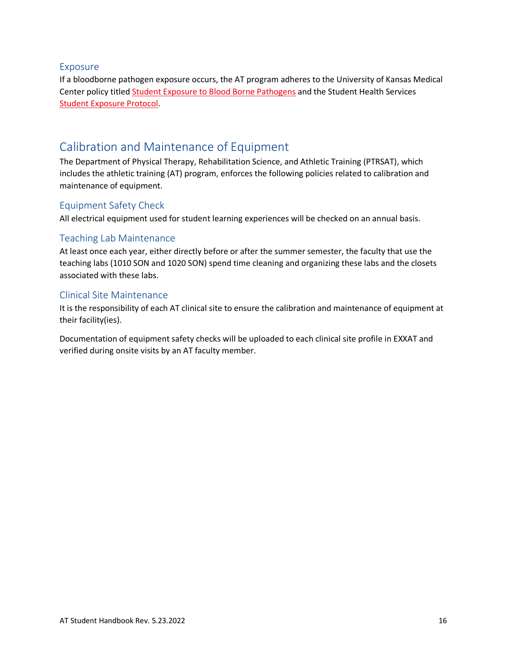#### Exposure

If a bloodborne pathogen exposure occurs, the AT program adheres to the University of Kansas Medical Center policy title[d Student Exposure to Blood Borne Pathogens](https://kumc-publicpoliciesandprocedures.policystat.com/policy/8326540/latest/) and the Student Health Services [Student Exposure Protocol.](https://www.kumc.edu/academic-and-student-affairs/departments/student-health-services/policies-and-procedures/needle-stick-or-other-exposure.html)

### <span id="page-21-0"></span>Calibration and Maintenance of Equipment

The Department of Physical Therapy, Rehabilitation Science, and Athletic Training (PTRSAT), which includes the athletic training (AT) program, enforces the following policies related to calibration and maintenance of equipment.

#### Equipment Safety Check

All electrical equipment used for student learning experiences will be checked on an annual basis.

#### Teaching Lab Maintenance

At least once each year, either directly before or after the summer semester, the faculty that use the teaching labs (1010 SON and 1020 SON) spend time cleaning and organizing these labs and the closets associated with these labs.

#### Clinical Site Maintenance

It is the responsibility of each AT clinical site to ensure the calibration and maintenance of equipment at their facility(ies).

Documentation of equipment safety checks will be uploaded to each clinical site profile in EXXAT and verified during onsite visits by an AT faculty member.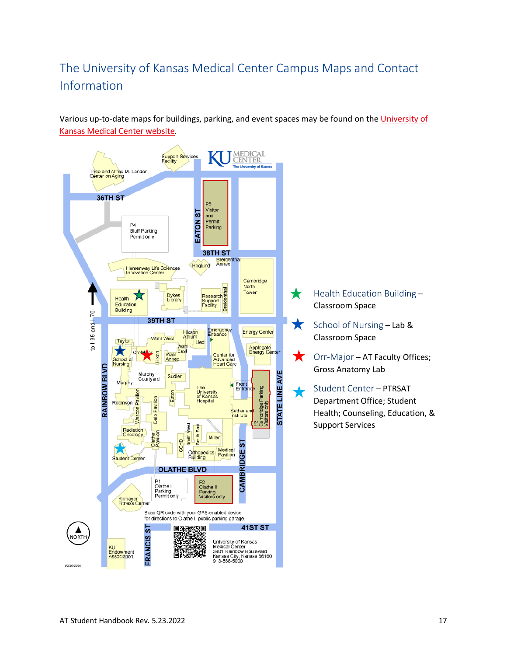# <span id="page-22-0"></span>The University of Kansas Medical Center Campus Maps and Contact Information

Various up-to-date maps for buildings, parking, and event spaces may be found on the University of [Kansas Medical Center](http://www.kumc.edu/about-us/maps-and-contact-information.html) website.

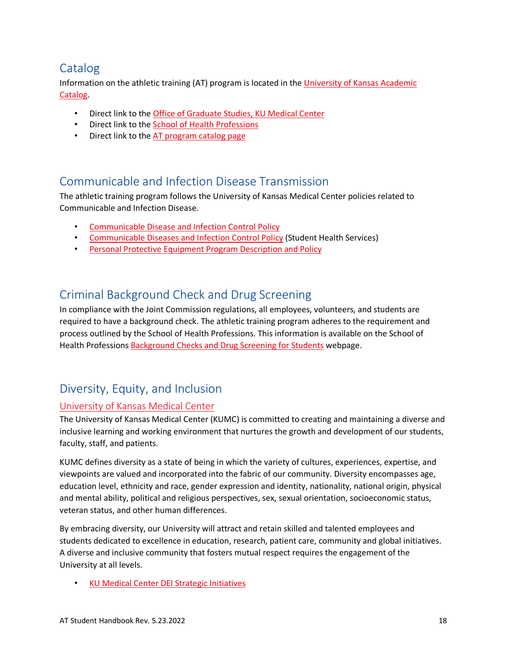# <span id="page-23-0"></span>Catalog

Information on the athletic training (AT) program is located in the [University of Kansas Academic](https://catalog.ku.edu/)  [Catalog.](https://catalog.ku.edu/)

- Direct link to the [Office of Graduate Studies, KU Medical Center](https://catalog.ku.edu/graduate-studies/kumc/)
- Direct link to the [School of Health Professions](https://catalog.ku.edu/health-professions/)
- Direct link to the [AT program catalog](https://catalog.ku.edu/health-professions/physical-therapy-rehabilitation-science/mat/#text) page

### <span id="page-23-1"></span>Communicable and Infection Disease Transmission

The athletic training program follows the University of Kansas Medical Center policies related to Communicable and Infection Disease.

- [Communicable Disease and Infection Control Policy](https://kumc-publicpoliciesandprocedures.policystat.com/policy/8409685/latest/#autoid-j79g3)
- [Communicable Diseases and Infection Control Policy](https://www.kumc.edu/academic-and-student-affairs/departments/student-health-services/policies-and-procedures/communicable-disease-and-infection-control-policy.html) (Student Health Services)
- [Personal Protective Equipment Program Description and Policy](https://kumc-publicpoliciesandprocedures.policystat.com/policy/8197461/latest/)

### <span id="page-23-2"></span>Criminal Background Check and Drug Screening

In compliance with the Joint Commission regulations, all employees, volunteers, and students are required to have a background check. The athletic training program adheres to the requirement and process outlined by the School of Health Professions. This information is available on the School of Health Profession[s Background Checks and Drug Screening for Students](http://www.kumc.edu/school-of-health-professions/background-checks-and-drug-screening-for-students.html) webpage.

# <span id="page-23-3"></span>Diversity, Equity, and Inclusion

#### [University of Kansas Medical Center](https://www.kumc.edu/diversity.html)

The University of Kansas Medical Center (KUMC) is committed to creating and maintaining a diverse and inclusive learning and working environment that nurtures the growth and development of our students, faculty, staff, and patients.

KUMC defines diversity as a state of being in which the variety of cultures, experiences, expertise, and viewpoints are valued and incorporated into the fabric of our community. Diversity encompasses age, education level, ethnicity and race, gender expression and identity, nationality, national origin, physical and mental ability, political and religious perspectives, sex, sexual orientation, socioeconomic status, veteran status, and other human differences.

By embracing diversity, our University will attract and retain skilled and talented employees and students dedicated to excellence in education, research, patient care, community and global initiatives. A diverse and inclusive community that fosters mutual respect requires the engagement of the University at all levels.

• [KU Medical Center DEI Strategic Initiatives](https://www.kumc.edu/diversity/about/strategic-initiatives.html)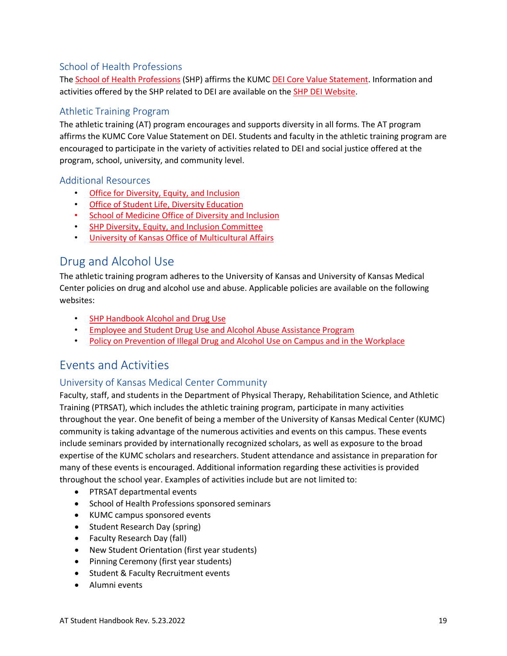### School of Health Professions

The [School of Health Professions](https://www.kumc.edu/school-of-health-professions/about/diversity-equity-and-inclusion.html) (SHP) affirms the KUMC [DEI Core Value Statement.](https://www.kumc.edu/school-of-health-professions/about/diversity-equity-and-inclusion.html) Information and activities offered by the SHP related to DEI are available on the [SHP DEI Website.](https://www.kumc.edu/school-of-health-professions/about/diversity-and-inclusion.html)

#### Athletic Training Program

The athletic training (AT) program encourages and supports diversity in all forms. The AT program affirms the KUMC Core Value Statement on DEI. Students and faculty in the athletic training program are encouraged to participate in the variety of activities related to DEI and social justice offered at the program, school, university, and community level.

#### Additional Resources

- [Office for Diversity, Equity, and Inclusion](https://www.kumc.edu/diversity.html)
- [Office of Student Life, Diversity Education](https://www.kumc.edu/about/diversity-and-inclusion.html)
- [School of Medicine Office of Diversity and Inclusion](https://www.kumc.edu/school-of-medicine/office-of-diversity-and-inclusion.html)
- [SHP Diversity, Equity, and Inclusion Committee](https://www.kumc.edu/school-of-health-professions/about/diversity-and-inclusion.html)
- [University of Kansas Office of Multicultural Affairs](http://oma.ku.edu/)

### <span id="page-24-0"></span>Drug and Alcohol Use

The athletic training program adheres to the University of Kansas and University of Kansas Medical Center policies on drug and alcohol use and abuse. Applicable policies are available on the following websites:

- [SHP Handbook Alcohol and Drug Use](https://www.kumc.edu/school-of-health-professions/academics/student-handbook.html#alcohol)
- [Employee and Student Drug Use and Alcohol Abuse Assistance Program](https://kumc.policystat.com/policy/4905320/latest/)
- [Policy on Prevention of Illegal Drug and Alcohol Use on Campus and in the Workplace](https://kumc.policystat.com/policy/5825628/latest/)

### <span id="page-24-1"></span>Events and Activities

#### University of Kansas Medical Center Community

Faculty, staff, and students in the Department of Physical Therapy, Rehabilitation Science, and Athletic Training (PTRSAT), which includes the athletic training program, participate in many activities throughout the year. One benefit of being a member of the University of Kansas Medical Center (KUMC) community is taking advantage of the numerous activities and events on this campus. These events include seminars provided by internationally recognized scholars, as well as exposure to the broad expertise of the KUMC scholars and researchers. Student attendance and assistance in preparation for many of these events is encouraged. Additional information regarding these activities is provided throughout the school year. Examples of activities include but are not limited to:

- PTRSAT departmental events
- School of Health Professions sponsored seminars
- KUMC campus sponsored events
- Student Research Day (spring)
- Faculty Research Day (fall)
- New Student Orientation (first year students)
- Pinning Ceremony (first year students)
- Student & Faculty Recruitment events
- Alumni events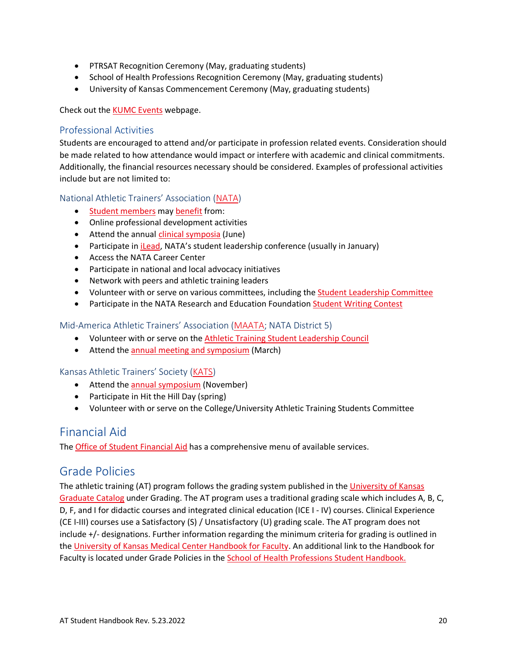- PTRSAT Recognition Ceremony (May, graduating students)
- School of Health Professions Recognition Ceremony (May, graduating students)
- University of Kansas Commencement Ceremony (May, graduating students)

Check out the [KUMC Events](https://www.kumc.edu/events-calendar.html) webpage.

#### Professional Activities

Students are encouraged to attend and/or participate in profession related events. Consideration should be made related to how attendance would impact or interfere with academic and clinical commitments. Additionally, the financial resources necessary should be considered. Examples of professional activities include but are not limited to:

#### National Athletic Trainers' Association [\(NATA\)](https://www.nata.org/)

- [Student members](https://www.nata.org/membership/about-membership/join-or-renew) may [benefit](https://www.nata.org/benefits-nata-membership) from:
- Online professional development activities
- Attend the annual [clinical symposia](https://www.nata.org/career-education/education/events/convention) (June)
- Participate in *iLead*, NATA's student leadership conference (usually in January)
- Access the NATA Career Center
- Participate in national and local advocacy initiatives
- Network with peers and athletic training leaders
- Volunteer with or serve on various committees, including the [Student Leadership Committee](https://www.nata.org/professional-interests/students)
- Participate in the NATA Research and Education Foundation [Student Writing Contest](https://www.natafoundation.org/education/writing-contest/)

#### Mid-America Athletic Trainers' Association [\(MAATA;](https://www.maatad5.org/) NATA District 5)

- Volunteer with or serve on the [Athletic Training Student Leadership Council](https://www.maatad5.org/student-section/)
- Attend the [annual meeting and symposium](https://www.maatad5.org/annual-meeting-and-symposium/) (March)

#### Kansas Athletic Trainers' Society [\(KATS\)](https://ksathletictrainers.org/)

- Attend the [annual symposium](https://ksathletictrainers.org/events/annual-symposium.html) (November)
- Participate in Hit the Hill Day (spring)
- Volunteer with or serve on the College/University Athletic Training Students Committee

### <span id="page-25-0"></span>Financial Aid

The **Office of Student Financial Aid** has a comprehensive menu of available services.

### <span id="page-25-1"></span>Grade Policies

The athletic training (AT) program follows the grading system published in th[e University of Kansas](https://catalog.ku.edu/graduate-studies/kumc/#Grading)  [Graduate Catalog](https://catalog.ku.edu/graduate-studies/kumc/#Grading) under Grading. The AT program uses a traditional grading scale which includes A, B, C, D, F, and I for didactic courses and integrated clinical education (ICE I - IV) courses. Clinical Experience (CE I-III) courses use a Satisfactory (S) / Unsatisfactory (U) grading scale. The AT program does not include +/- designations. Further information regarding the minimum criteria for grading is outlined in the University of Kansas [Medical Center Handbook for Faculty.](https://www.kumc.edu/academic-and-student-affairs/faculty-resources.html) An additional link to the Handbook for Faculty is located under Grade Policies in the [School of Health Professions Student Handbook.](https://www.kumc.edu/school-of-health-professions/academics/student-handbook.html)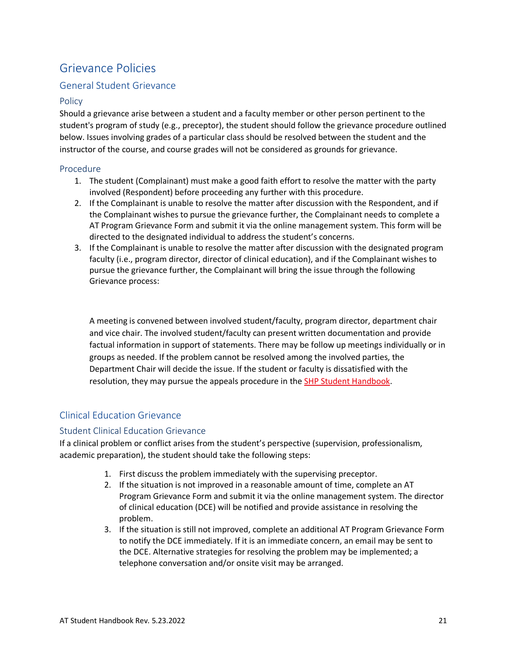# <span id="page-26-0"></span>Grievance Policies

#### General Student Grievance

#### **Policy**

Should a grievance arise between a student and a faculty member or other person pertinent to the student's program of study (e.g., preceptor), the student should follow the grievance procedure outlined below. Issues involving grades of a particular class should be resolved between the student and the instructor of the course, and course grades will not be considered as grounds for grievance.

#### Procedure

- 1. The student (Complainant) must make a good faith effort to resolve the matter with the party involved (Respondent) before proceeding any further with this procedure.
- 2. If the Complainant is unable to resolve the matter after discussion with the Respondent, and if the Complainant wishes to pursue the grievance further, the Complainant needs to complete a AT Program Grievance Form and submit it via the online management system. This form will be directed to the designated individual to address the student's concerns.
- 3. If the Complainant is unable to resolve the matter after discussion with the designated program faculty (i.e., program director, director of clinical education), and if the Complainant wishes to pursue the grievance further, the Complainant will bring the issue through the following Grievance process:

A meeting is convened between involved student/faculty, program director, department chair and vice chair. The involved student/faculty can present written documentation and provide factual information in support of statements. There may be follow up meetings individually or in groups as needed. If the problem cannot be resolved among the involved parties, the Department Chair will decide the issue. If the student or faculty is dissatisfied with the resolution, they may pursue the appeals procedure in the [SHP Student Handbook.](https://www.kumc.edu/school-of-health-professions/academics/student-handbook.html)

#### Clinical Education Grievance

#### Student Clinical Education Grievance

If a clinical problem or conflict arises from the student's perspective (supervision, professionalism, academic preparation), the student should take the following steps:

- 1. First discuss the problem immediately with the supervising preceptor.
- 2. If the situation is not improved in a reasonable amount of time, complete an AT Program Grievance Form and submit it via the online management system. The director of clinical education (DCE) will be notified and provide assistance in resolving the problem.
- 3. If the situation is still not improved, complete an additional AT Program Grievance Form to notify the DCE immediately. If it is an immediate concern, an email may be sent to the DCE. Alternative strategies for resolving the problem may be implemented; a telephone conversation and/or onsite visit may be arranged.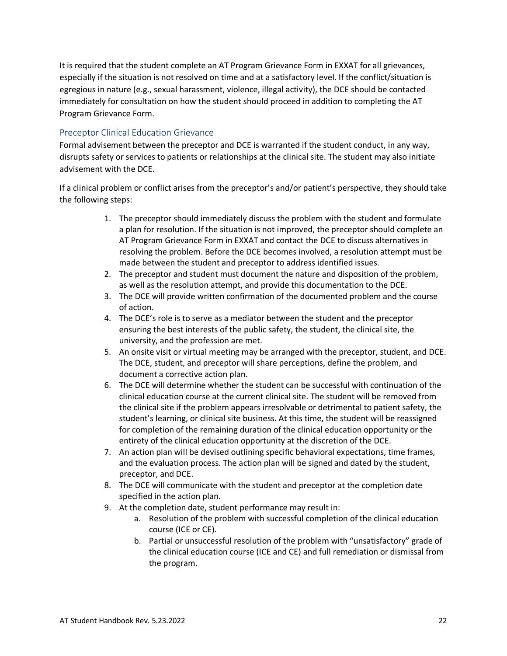It is required that the student complete an AT Program Grievance Form in EXXAT for all grievances, especially if the situation is not resolved on time and at a satisfactory level. If the conflict/situation is egregious in nature (e.g., sexual harassment, violence, illegal activity), the DCE should be contacted immediately for consultation on how the student should proceed in addition to completing the AT Program Grievance Form.

#### Preceptor Clinical Education Grievance

Formal advisement between the preceptor and DCE is warranted if the student conduct, in any way, disrupts safety or services to patients or relationships at the clinical site. The student may also initiate advisement with the DCE.

If a clinical problem or conflict arises from the preceptor's and/or patient's perspective, they should take the following steps:

- 1. The preceptor should immediately discuss the problem with the student and formulate a plan for resolution. If the situation is not improved, the preceptor should complete an AT Program Grievance Form in EXXAT and contact the DCE to discuss alternatives in resolving the problem. Before the DCE becomes involved, a resolution attempt must be made between the student and preceptor to address identified issues.
- 2. The preceptor and student must document the nature and disposition of the problem, as well as the resolution attempt, and provide this documentation to the DCE.
- 3. The DCE will provide written confirmation of the documented problem and the course of action.
- 4. The DCE's role is to serve as a mediator between the student and the preceptor ensuring the best interests of the public safety, the student, the clinical site, the university, and the profession are met.
- 5. An onsite visit or virtual meeting may be arranged with the preceptor, student, and DCE. The DCE, student, and preceptor will share perceptions, define the problem, and document a corrective action plan.
- 6. The DCE will determine whether the student can be successful with continuation of the clinical education course at the current clinical site. The student will be removed from the clinical site if the problem appears irresolvable or detrimental to patient safety, the student's learning, or clinical site business. At this time, the student will be reassigned for completion of the remaining duration of the clinical education opportunity or the entirety of the clinical education opportunity at the discretion of the DCE.
- 7. An action plan will be devised outlining specific behavioral expectations, time frames, and the evaluation process. The action plan will be signed and dated by the student, preceptor, and DCE.
- 8. The DCE will communicate with the student and preceptor at the completion date specified in the action plan.
- 9. At the completion date, student performance may result in:
	- a. Resolution of the problem with successful completion of the clinical education course (ICE or CE).
	- b. Partial or unsuccessful resolution of the problem with "unsatisfactory" grade of the clinical education course (ICE and CE) and full remediation or dismissal from the program.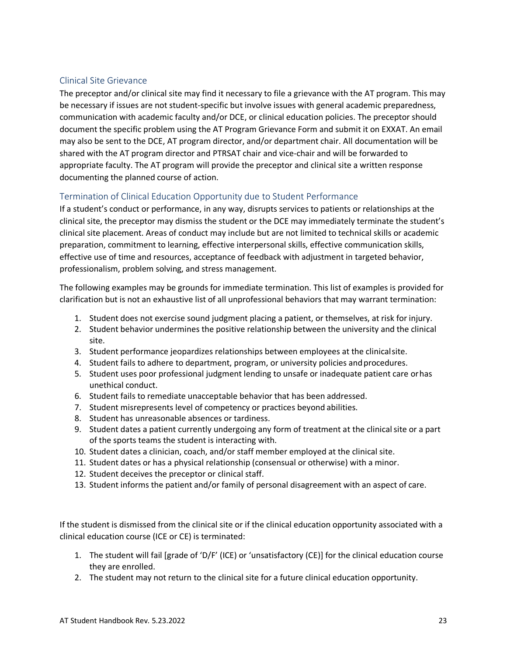#### Clinical Site Grievance

The preceptor and/or clinical site may find it necessary to file a grievance with the AT program. This may be necessary if issues are not student-specific but involve issues with general academic preparedness, communication with academic faculty and/or DCE, or clinical education policies. The preceptor should document the specific problem using the AT Program Grievance Form and submit it on EXXAT. An email may also be sent to the DCE, AT program director, and/or department chair. All documentation will be shared with the AT program director and PTRSAT chair and vice-chair and will be forwarded to appropriate faculty. The AT program will provide the preceptor and clinical site a written response documenting the planned course of action.

#### Termination of Clinical Education Opportunity due to Student Performance

If a student's conduct or performance, in any way, disrupts services to patients or relationships at the clinical site, the preceptor may dismiss the student or the DCE may immediately terminate the student's clinical site placement. Areas of conduct may include but are not limited to technical skills or academic preparation, commitment to learning, effective interpersonal skills, effective communication skills, effective use of time and resources, acceptance of feedback with adjustment in targeted behavior, professionalism, problem solving, and stress management.

The following examples may be grounds for immediate termination. This list of examples is provided for clarification but is not an exhaustive list of all unprofessional behaviors that may warrant termination:

- 1. Student does not exercise sound judgment placing a patient, or themselves, at risk for injury.
- 2. Student behavior undermines the positive relationship between the university and the clinical site.
- 3. Student performance jeopardizes relationships between employees at the clinicalsite.
- 4. Student fails to adhere to department, program, or university policies andprocedures.
- 5. Student uses poor professional judgment lending to unsafe or inadequate patient care orhas unethical conduct.
- 6. Student fails to remediate unacceptable behavior that has been addressed.
- 7. Student misrepresents level of competency or practices beyond abilities.
- 8. Student has unreasonable absences or tardiness.
- 9. Student dates a patient currently undergoing any form of treatment at the clinicalsite or a part of the sports teams the student is interacting with.
- 10. Student dates a clinician, coach, and/or staff member employed at the clinical site.
- 11. Student dates or has a physical relationship (consensual or otherwise) with a minor.
- 12. Student deceives the preceptor or clinical staff.
- 13. Student informs the patient and/or family of personal disagreement with an aspect of care.

If the student is dismissed from the clinical site or if the clinical education opportunity associated with a clinical education course (ICE or CE) is terminated:

- 1. The student will fail [grade of 'D/F' (ICE) or 'unsatisfactory (CE)] for the clinical education course they are enrolled.
- 2. The student may not return to the clinical site for a future clinical education opportunity.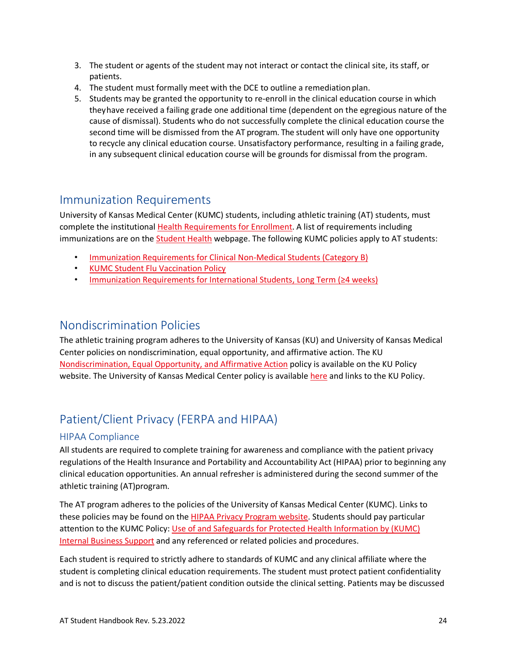- 3. The student or agents of the student may not interact or contact the clinical site, its staff, or patients.
- 4. The student must formally meet with the DCE to outline a remediationplan.
- 5. Students may be granted the opportunity to re-enroll in the clinical education course in which theyhave received a failing grade one additional time (dependent on the egregious nature of the cause of dismissal). Students who do not successfully complete the clinical education course the second time will be dismissed from the AT program. The student will only have one opportunity to recycle any clinical education course. Unsatisfactory performance, resulting in a failing grade, in any subsequent clinical education course will be grounds for dismissal from the program.

### <span id="page-29-0"></span>Immunization Requirements

University of Kansas Medical Center (KUMC) students, including athletic training (AT) students, must complete the institutional [Health Requirements for Enrollment.](https://www.kumc.edu/academic-and-student-affairs/departments/student-health-services/policies-and-procedures/health-requirements-for-enrollment.html) A list of requirements including immunizations are on the **Student Health** webpage. The following KUMC policies apply to AT students:

- [Immunization Requirements for Clinical Non-Medical Students \(Category B\)](https://kumc-publicpoliciesandprocedures.policystat.com/policy/8326518/latest/)
- [KUMC Student Flu Vaccination Policy](https://kumc-publicpoliciesandprocedures.policystat.com/policy/7785724/latest/)
- [Immunization Requirements for International Students, Long Term \(](https://kumc-publicpoliciesandprocedures.policystat.com/policy/8326498/latest/)≥4 weeks)

### <span id="page-29-1"></span>Nondiscrimination Policies

The athletic training program adheres to the University of Kansas (KU) and University of Kansas Medical Center policies on nondiscrimination, equal opportunity, and affirmative action. The KU [Nondiscrimination, Equal Opportunity, and Affirmative Action](https://policy.ku.edu/IOA/nondiscrimination) policy is available on the KU Policy website. The University of Kansas Medical Center policy is availabl[e here](https://www.kumc.edu/office-of-compliance/equal-opportunity-office/discrimination.html) and links to the KU Policy.

# <span id="page-29-2"></span>Patient/Client Privacy (FERPA and HIPAA)

#### HIPAA Compliance

All students are required to complete training for awareness and compliance with the patient privacy regulations of the Health Insurance and Portability and Accountability Act (HIPAA) prior to beginning any clinical education opportunities. An annual refresher is administered during the second summer of the athletic training (AT)program.

The AT program adheres to the policies of the University of Kansas Medical Center (KUMC). Links to these policies may be found on the [HIPAA Privacy Program website.](https://www.kumc.edu/compliance-services/office-of-compliance/hipaa-privacy-program.html) Students should pay particular attention to the KUMC Policy: Use of and Safeguards for Protected Health Information by (KUMC) [Internal Business Support](https://kumc-publicpoliciesandprocedures.policystat.com/policy/8938904/latest/) and any referenced or related policies and procedures.

Each student is required to strictly adhere to standards of KUMC and any clinical affiliate where the student is completing clinical education requirements. The student must protect patient confidentiality and is not to discuss the patient/patient condition outside the clinical setting. Patients may be discussed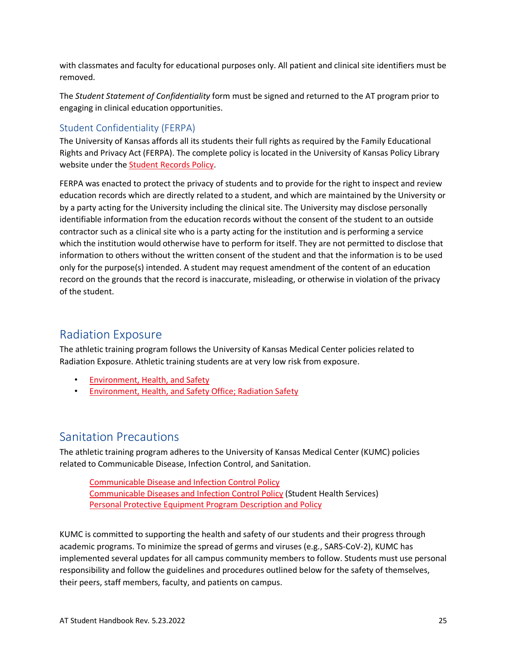with classmates and faculty for educational purposes only. All patient and clinical site identifiers must be removed.

The *Student Statement of Confidentiality* form must be signed and returned to the AT program prior to engaging in clinical education opportunities.

#### Student Confidentiality (FERPA)

The University of Kansas affords all its students their full rights as required by the Family Educational Rights and Privacy Act (FERPA). The complete policy is located in the University of Kansas Policy Library website under the [Student Records Policy.](https://policy.ku.edu/registrar/student-record-policy)

FERPA was enacted to protect the privacy of students and to provide for the right to inspect and review education records which are directly related to a student, and which are maintained by the University or by a party acting for the University including the clinical site. The University may disclose personally identifiable information from the education records without the consent of the student to an outside contractor such as a clinical site who is a party acting for the institution and is performing a service which the institution would otherwise have to perform for itself. They are not permitted to disclose that information to others without the written consent of the student and that the information is to be used only for the purpose(s) intended. A student may request amendment of the content of an education record on the grounds that the record is inaccurate, misleading, or otherwise in violation of the privacy of the student.

# <span id="page-30-0"></span>Radiation Exposure

The athletic training program follows the University of Kansas Medical Center policies related to Radiation Exposure. Athletic training students are at very low risk from exposure.

- [Environment, Health, and Safety](https://kumed.sharepoint.com/sites/mykumc/ehs/Pages/default.aspx)
- [Environment, Health, and Safety Office; Radiation Safety](https://www.kumc.edu/environment-health-and-safety-office/radiation-safety.html)

### <span id="page-30-1"></span>Sanitation Precautions

The athletic training program adheres to the University of Kansas Medical Center (KUMC) policies related to Communicable Disease, Infection Control, and Sanitation.

[Communicable Disease and Infection Control Policy](https://kumc-publicpoliciesandprocedures.policystat.com/policy/8409685/latest/#autoid-j79g3) [Communicable Diseases and Infection Control Policy](https://www.kumc.edu/academic-and-student-affairs/departments/student-health-services/policies-and-procedures/communicable-disease-and-infection-control-policy.html) (Student Health Services) [Personal Protective Equipment Program Description and Policy](https://kumc-publicpoliciesandprocedures.policystat.com/policy/8197461/latest/)

KUMC is committed to supporting the health and safety of our students and their progress through academic programs. To minimize the spread of germs and viruses (e.g., SARS-CoV-2), KUMC has implemented several updates for all campus community members to follow. Students must use personal responsibility and follow the guidelines and procedures outlined below for the safety of themselves, their peers, staff members, faculty, and patients on campus.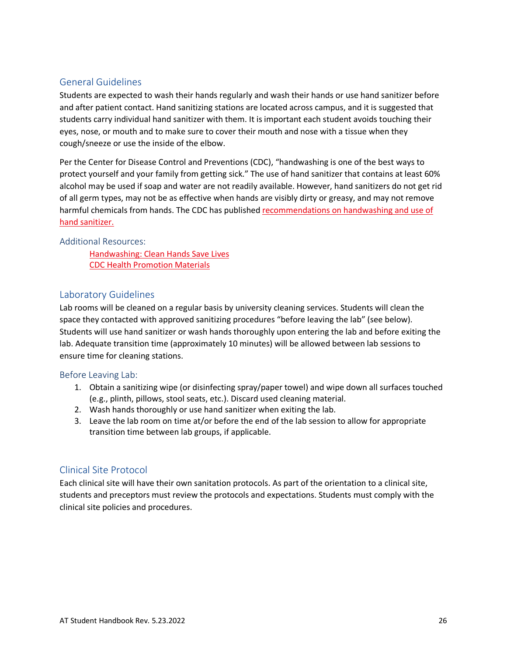#### General Guidelines

Students are expected to wash their hands regularly and wash their hands or use hand sanitizer before and after patient contact. Hand sanitizing stations are located across campus, and it is suggested that students carry individual hand sanitizer with them. It is important each student avoids touching their eyes, nose, or mouth and to make sure to cover their mouth and nose with a tissue when they cough/sneeze or use the inside of the elbow.

Per the Center for Disease Control and Preventions (CDC), "handwashing is one of the best ways to protect yourself and your family from getting sick." The use of hand sanitizer that contains at least 60% alcohol may be used if soap and water are not readily available. However, hand sanitizers do not get rid of all germ types, may not be as effective when hands are visibly dirty or greasy, and may not remove harmful chemicals from hands. The CDC has published [recommendations on handwashing and use of](https://www.cdc.gov/handwashing/when-how-handwashing.html)  [hand sanitizer.](https://www.cdc.gov/handwashing/when-how-handwashing.html) 

#### Additional Resources:

[Handwashing: Clean Hands Save Lives](https://www.cdc.gov/handwashing/index.html) [CDC Health Promotion Materials](https://www.cdc.gov/handwashing/materials.html)

#### Laboratory Guidelines

Lab rooms will be cleaned on a regular basis by university cleaning services. Students will clean the space they contacted with approved sanitizing procedures "before leaving the lab" (see below). Students will use hand sanitizer or wash hands thoroughly upon entering the lab and before exiting the lab. Adequate transition time (approximately 10 minutes) will be allowed between lab sessions to ensure time for cleaning stations.

#### Before Leaving Lab:

- 1. Obtain a sanitizing wipe (or disinfecting spray/paper towel) and wipe down all surfaces touched (e.g., plinth, pillows, stool seats, etc.). Discard used cleaning material.
- 2. Wash hands thoroughly or use hand sanitizer when exiting the lab.
- 3. Leave the lab room on time at/or before the end of the lab session to allow for appropriate transition time between lab groups, if applicable.

#### Clinical Site Protocol

Each clinical site will have their own sanitation protocols. As part of the orientation to a clinical site, students and preceptors must review the protocols and expectations. Students must comply with the clinical site policies and procedures.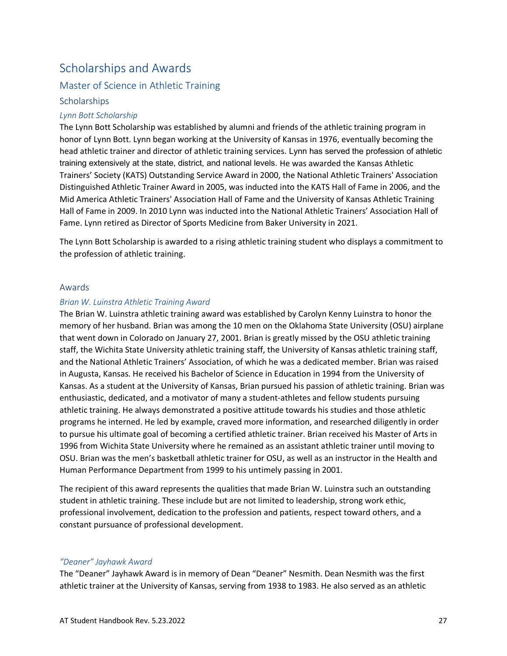# <span id="page-32-0"></span>Scholarships and Awards

#### Master of Science in Athletic Training

#### **Scholarships**

#### *Lynn Bott Scholarship*

The Lynn Bott Scholarship was established by alumni and friends of the athletic training program in honor of Lynn Bott. Lynn began working at the University of Kansas in 1976, eventually becoming the head athletic trainer and director of athletic training services. Lynn has served the profession of athletic training extensively at the state, district, and national levels. He was awarded the Kansas Athletic Trainers' Society (KATS) Outstanding Service Award in 2000, the National Athletic Trainers' Association Distinguished Athletic Trainer Award in 2005, was inducted into the KATS Hall of Fame in 2006, and the Mid America Athletic Trainers' Association Hall of Fame and the University of Kansas Athletic Training Hall of Fame in 2009. In 2010 Lynn was inducted into the National Athletic Trainers' Association Hall of Fame. Lynn retired as Director of Sports Medicine from Baker University in 2021.

The Lynn Bott Scholarship is awarded to a rising athletic training student who displays a commitment to the profession of athletic training.

#### Awards

#### *Brian W. Luinstra Athletic Training Award*

The Brian W. Luinstra athletic training award was established by Carolyn Kenny Luinstra to honor the memory of her husband. Brian was among the 10 men on the Oklahoma State University (OSU) airplane that went down in Colorado on January 27, 2001. Brian is greatly missed by the OSU athletic training staff, the Wichita State University athletic training staff, the University of Kansas athletic training staff, and the National Athletic Trainers' Association, of which he was a dedicated member. Brian was raised in Augusta, Kansas. He received his Bachelor of Science in Education in 1994 from the University of Kansas. As a student at the University of Kansas, Brian pursued his passion of athletic training. Brian was enthusiastic, dedicated, and a motivator of many a student-athletes and fellow students pursuing athletic training. He always demonstrated a positive attitude towards his studies and those athletic programs he interned. He led by example, craved more information, and researched diligently in order to pursue his ultimate goal of becoming a certified athletic trainer. Brian received his Master of Arts in 1996 from Wichita State University where he remained as an assistant athletic trainer until moving to OSU. Brian was the men's basketball athletic trainer for OSU, as well as an instructor in the Health and Human Performance Department from 1999 to his untimely passing in 2001.

The recipient of this award represents the qualities that made Brian W. Luinstra such an outstanding student in athletic training. These include but are not limited to leadership, strong work ethic, professional involvement, dedication to the profession and patients, respect toward others, and a constant pursuance of professional development.

#### *"Deaner" Jayhawk Award*

The "Deaner" Jayhawk Award is in memory of Dean "Deaner" Nesmith. Dean Nesmith was the first athletic trainer at the University of Kansas, serving from 1938 to 1983. He also served as an athletic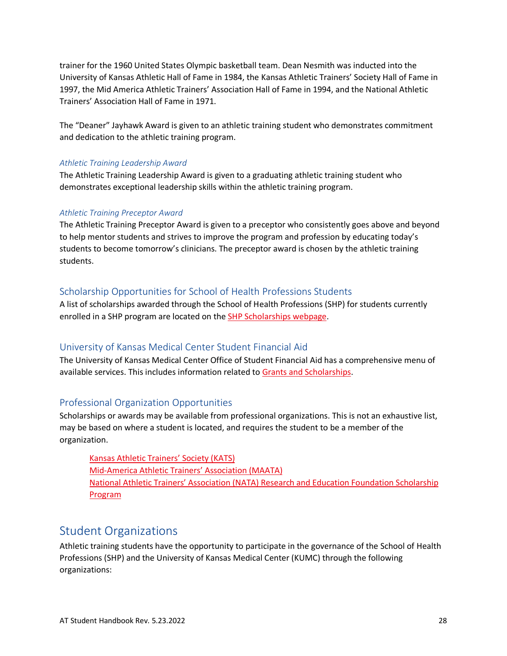trainer for the 1960 United States Olympic basketball team. Dean Nesmith was inducted into the University of Kansas Athletic Hall of Fame in 1984, the Kansas Athletic Trainers' Society Hall of Fame in 1997, the Mid America Athletic Trainers' Association Hall of Fame in 1994, and the National Athletic Trainers' Association Hall of Fame in 1971.

The "Deaner" Jayhawk Award is given to an athletic training student who demonstrates commitment and dedication to the athletic training program.

#### *Athletic Training Leadership Award*

The Athletic Training Leadership Award is given to a graduating athletic training student who demonstrates exceptional leadership skills within the athletic training program.

#### *Athletic Training Preceptor Award*

The Athletic Training Preceptor Award is given to a preceptor who consistently goes above and beyond to help mentor students and strives to improve the program and profession by educating today's students to become tomorrow's clinicians. The preceptor award is chosen by the athletic training students.

#### Scholarship Opportunities for School of Health Professions Students

A list of scholarships awarded through the School of Health Professions (SHP) for students currently enrolled in a SHP program are located on the [SHP Scholarships webpage.](https://www.kumc.edu/school-of-health-professions/academics/admissions-and-aid/scholarships.html)

#### University of Kansas Medical Center Student Financial Aid

The University of Kansas Medical Center Office of Student Financial Aid has a comprehensive menu of available services. This includes information related to [Grants and Scholarships.](https://www.kumc.edu/academic-and-student-affairs/departments/student-financial-aid/financial-aid/scholarships-and-grants.html)

#### Professional Organization Opportunities

Scholarships or awards may be available from professional organizations. This is not an exhaustive list, may be based on where a student is located, and requires the student to be a member of the organization.

[Kansas Athletic Trainers' Society \(KATS\)](https://ksathletictrainers.org/awards/student-scholarship.html) [Mid-America Athletic Trainers' Association \(MAATA\)](https://www.maatad5.org/maata-scholarship-application/) [National Athletic Trainers' Association \(NATA\) Research and Education](https://www.natafoundation.org/education/scholarships/) Foundation Scholarship [Program](https://www.natafoundation.org/education/scholarships/)

### <span id="page-33-0"></span>Student Organizations

Athletic training students have the opportunity to participate in the governance of the School of Health Professions (SHP) and the University of Kansas Medical Center (KUMC) through the following organizations: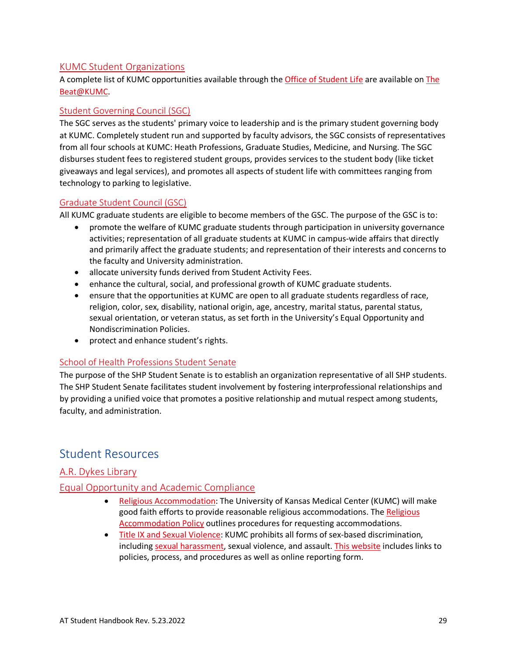#### [KUMC Student Organizations](https://www.kumc.edu/academic-and-student-affairs/departments/office-of-student-life/student-organizations.html)

A complete list of KUMC opportunities available through the [Office of Student Life](http://www.kumc.edu/student-affairs/office-of-student-life.html) are available o[n The](https://kumc.campuslabs.com/engage/)  [Beat@KUMC.](https://kumc.campuslabs.com/engage/) 

#### [Student Governing Council \(SGC\)](https://kumc.campuslabs.com/engage/organization/SGC)

The SGC serves as the students' primary voice to leadership and is the primary student governing body at KUMC. Completely student run and supported by faculty advisors, the SGC consists of representatives from all four schools at KUMC: Heath Professions, Graduate Studies, Medicine, and Nursing. The SGC disburses student fees to registered student groups, provides services to the student body (like ticket giveaways and legal services), and promotes all aspects of student life with committees ranging from technology to parking to legislative.

#### [Graduate Student Council \(GSC\)](https://kumc.campuslabs.com/engage/organization/gsc)

All KUMC graduate students are eligible to become members of the GSC. The purpose of the GSC is to:

- promote the welfare of KUMC graduate students through participation in university governance activities; representation of all graduate students at KUMC in campus-wide affairs that directly and primarily affect the graduate students; and representation of their interests and concerns to the faculty and University administration.
- allocate university funds derived from Student Activity Fees.
- enhance the cultural, social, and professional growth of KUMC graduate students.
- ensure that the opportunities at KUMC are open to all graduate students regardless of race, religion, color, sex, disability, national origin, age, ancestry, marital status, parental status, sexual orientation, or veteran status, as set forth in the University's Equal Opportunity and Nondiscrimination Policies.
- protect and enhance student's rights.

#### [School of Health Professions Student Senate](https://kumc.campuslabs.com/engage/organization/shpsenate)

The purpose of the SHP Student Senate is to establish an organization representative of all SHP students. The SHP Student Senate facilitates student involvement by fostering interprofessional relationships and by providing a unified voice that promotes a positive relationship and mutual respect among students, faculty, and administration.

### <span id="page-34-0"></span>Student Resources

#### [A.R. Dykes Library](http://library.kumc.edu/)

#### [Equal Opportunity and](https://www.kumc.edu/compliance-services/office-of-compliance/equal-opportunity-office.html) Academic Compliance

- [Religious Accommodation:](https://www.kumc.edu/compliance-services/office-of-compliance/equal-opportunity-office/discrimination/religious-accommodation.html) The University of Kansas Medical Center (KUMC) will make good faith efforts to provide reasonable religious accommodations. The Religious [Accommodation Policy](https://kumc-publicpoliciesandprocedures.policystat.com/policy/7283670/latest/) outlines procedures for requesting accommodations.
- [Title IX and Sexual Violence:](https://www.kumc.edu/compliance-services/office-of-compliance/equal-opportunity-office/title-ix-and-sexual-violence.html) KUMC prohibits all forms of sex-based discrimination, including [sexual harassment,](https://policy.ku.edu/IOA/sexual-harassment) sexual violence, and assault. [This website](https://www.kumc.edu/compliance-services/office-of-compliance/equal-opportunity-office/title-ix-and-sexual-violence.html) includes links to policies, process, and procedures as well as online reporting form.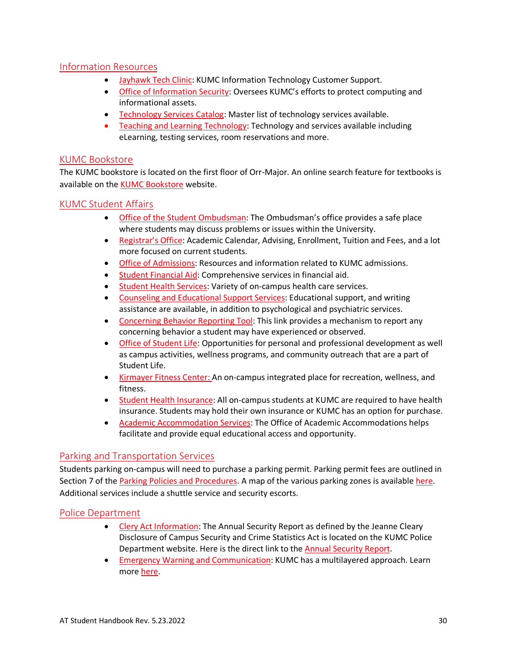#### [Information Resources](http://www.kumc.edu/information-resources.html)

- [Jayhawk Tech Clinic:](https://kumed.sharepoint.com/sites/mykumc/ir/customer-support) KUMC Information Technology Customer Support.
- [Office of Information Security:](https://www.kumc.edu/information-technology/services/information-security.html) Oversees KUMC's efforts to protect computing and informational assets.
- [Technology Services Catalog:](https://kumed.sharepoint.com/sites/mykumc/catalog/Pages/Technology.aspx) Master list of technology services available.
- [Teaching and Learning Technology:](https://www.kumc.edu/information-technology/services/teaching-and-learning-technologies.html) Technology and services available including eLearning, testing services, room reservations and more.

#### [KUMC Bookstore](https://www.kubookstore.com/adoption-search)

The KUMC bookstore is located on the first floor of Orr-Major. An online search feature for textbooks is available on the [KUMC Bookstore](https://www.kubookstore.com/adoption-search) website.

#### [KUMC Student Affairs](https://www.kumc.edu/academic-and-student-affairs/departments.html)

- [Office of the Student Ombudsman:](https://www.kumc.edu/academic-and-student-affairs/student-resources/student-ombudsman.html) The Ombudsman's office provides a safe place where students may discuss problems or issues within the University.
- [Registrar's Office:](http://www.kumc.edu/student-affairs/registrars-office.html) Academic Calendar, Advising, Enrollment, Tuition and Fees, and a lot more focused on current students.
- [Office of Admissions:](https://www.kumc.edu/academic-and-student-affairs/departments/registrars-office/admissions.html) Resources and information related to KUMC admissions.
- [Student Financial Aid:](http://www.kumc.edu/student-affairs/student-financial-aid.html) Comprehensive services in financial aid.
- [Student Health Services:](http://www.kumc.edu/student-affairs/student-health-services.html) Variety of on-campus health care services.
- [Counseling and Educational Support Services:](http://www.kumc.edu/student-affairs/counseling-and-educational-support-services.html) Educational support, and writing assistance are available, in addition to psychological and psychiatric services.
- [Concerning Behavior Reporting Tool:](https://redcap.kumc.edu/surveys/?s=3X7PH4HH4L) This link provides a mechanism to report any concerning behavior a student may have experienced or observed.
- [Office of Student Life:](http://www.kumc.edu/student-affairs/office-of-student-life.html) Opportunities for personal and professional development as well as campus activities, wellness programs, and community outreach that are a part of Student Life.
- [Kirmayer Fitness Center:](http://www.kumc.edu/student-affairs/kirmayer-fitness-center.html) An on-campus integrated place for recreation, wellness, and fitness.
- [Student Health Insurance:](http://www.kumc.edu/student-affairs/student-health-insurance.html) All on-campus students at KUMC are required to have health insurance. Students may hold their own insurance or KUMC has an option for purchase.
- [Academic Accommodation Services:](http://www.kumc.edu/student-affairs/academic-accommodation-services.html) The Office of Academic Accommodations helps facilitate and provide equal educational access and opportunity.

#### [Parking and Transportation Services](https://www.kumc.edu/public-safety/parking.html)

Students parking on-campus will need to purchase a parking permit. Parking permit fees are outlined in Section 7 of the [Parking Policies and](https://www.kumc.edu/parking/parking/policies-procedures-and-permit-fees.html) Procedures. A map of the various parking zones is available [here.](https://www.kumc.edu/public-safety/parking/zone-maps.html) Additional services include a shuttle service and security escorts.

#### [Police Department](https://www.kumc.edu/public-safety/police-and-security-services.html)

- [Clery Act Information:](https://www.kumc.edu/public-safety/clery-information.html) The Annual Security Report as defined by the Jeanne Cleary Disclosure of Campus Security and Crime Statistics Act is located on the KUMC Police Department website. Here is the direct link to the [Annual Security Report.](https://www.kumc.edu/public-safety/clery-information/annual-security-report.html)
- [Emergency Warning and Communication:](https://www.kumc.edu/emergency-management/campus-emergency-communications.html) KUMC has a multilayered approach. Learn more [here.](https://www.kumc.edu/emergency-management/campus-emergency-communications/rave-guardian.html)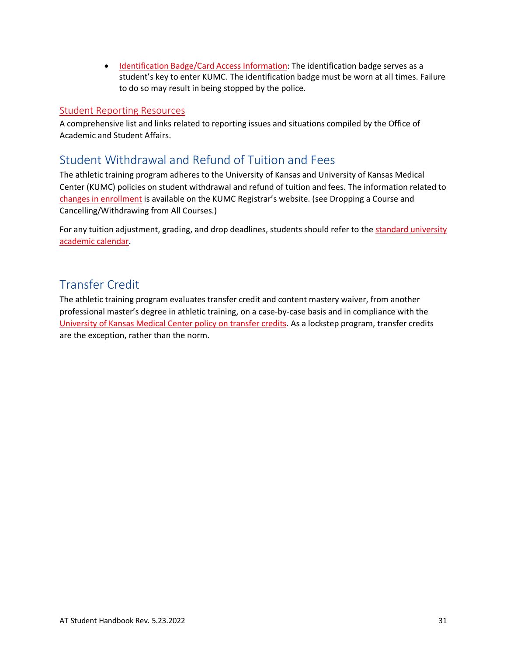• [Identification Badge/Card Access Information:](https://www.kumc.edu/public-safety/campus-safety/card-access-info.html) The identification badge serves as a student's key to enter KUMC. The identification badge must be worn at all times. Failure to do so may result in being stopped by the police.

#### [Student Reporting Resources](https://www.kumc.edu/academic-and-student-affairs/about/reporting-resources/student-resources.html)

A comprehensive list and links related to reporting issues and situations compiled by the Office of Academic and Student Affairs.

### <span id="page-36-0"></span>Student Withdrawal and Refund of Tuition and Fees

The athletic training program adheres to the University of Kansas and University of Kansas Medical Center (KUMC) policies on student withdrawal and refund of tuition and fees. The information related to [changes in enrollment](https://www.kumc.edu/academic-and-student-affairs/departments/registrars-office/services/change-enrollment.html) is available on the KUMC Registrar's website. (see Dropping a Course and Cancelling/Withdrawing from All Courses.)

For any tuition adjustment, grading, and drop deadlines, students should refer to the [standard university](https://registrar.ku.edu/calendar)  [academic calendar.](https://registrar.ku.edu/calendar)

### <span id="page-36-1"></span>Transfer Credit

The athletic training program evaluates transfer credit and content mastery waiver, from another professional master's degree in athletic training, on a case-by-case basis and in compliance with the [University of Kansas Medical Center policy on transfer credits.](https://catalog.ku.edu/graduate-studies/kumc/#TransferCredit) As a lockstep program, transfer credits are the exception, rather than the norm.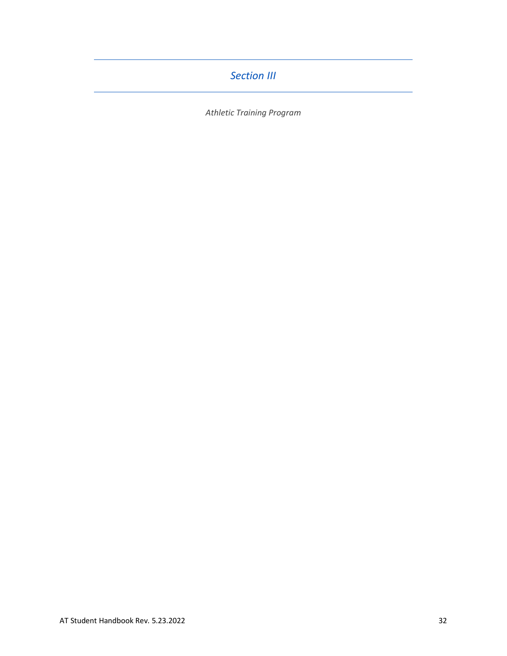### *Section III*

<span id="page-37-0"></span>*Athletic Training Program*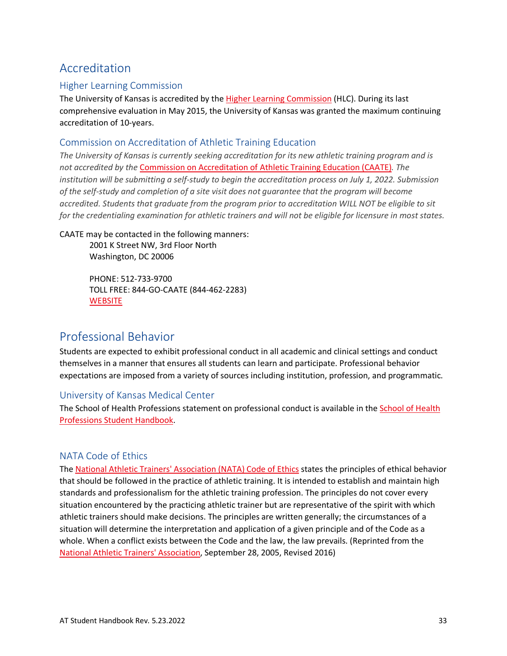# <span id="page-38-0"></span>Accreditation

#### Higher Learning Commission

The University of Kansas is accredited by the [Higher Learning Commission](https://www.hlcommission.org/) (HLC). During its last comprehensive evaluation in May 2015, the University of Kansas was granted the maximum continuing accreditation of 10-years.

#### Commission on Accreditation of Athletic Training Education

*The University of Kansas is currently seeking accreditation for its new athletic training program and is not accredited by the* [Commission on Accreditation of Athletic Training Education \(CAATE\)](https://caate.net/)*. The institution will be submitting a self-study to begin the accreditation process on July 1, 2022. Submission of the self-study and completion of a site visit does not guarantee that the program will become accredited. Students that graduate from the program prior to accreditation WILL NOT be eligible to sit for the credentialing examination for athletic trainers and will not be eligible for licensure in most states.*

#### CAATE may be contacted in the following manners:

2001 K Street NW, 3rd Floor North Washington, DC 20006

PHONE: 512-733-9700 TOLL FREE: 844-GO-CAATE (844-462-2283) **[WEBSITE](https://caate.net/)** 

### <span id="page-38-1"></span>Professional Behavior

Students are expected to exhibit professional conduct in all academic and clinical settings and conduct themselves in a manner that ensures all students can learn and participate. Professional behavior expectations are imposed from a variety of sources including institution, profession, and programmatic.

#### University of Kansas Medical Center

The School of Health Professions statement on professional conduct is available in th[e School of Health](https://www.kumc.edu/school-of-health-professions/academics/student-handbook.html)  [Professions Student Handbook.](https://www.kumc.edu/school-of-health-professions/academics/student-handbook.html)

#### NATA Code of Ethics

The [National Athletic Trainers' Association \(NATA\) Code of Ethics](https://www.nata.org/sites/default/files/code_of_ethics.pdf) states the principles of ethical behavior that should be followed in the practice of athletic training. It is intended to establish and maintain high standards and professionalism for the athletic training profession. The principles do not cover every situation encountered by the practicing athletic trainer but are representative of the spirit with which athletic trainers should make decisions. The principles are written generally; the circumstances of a situation will determine the interpretation and application of a given principle and of the Code as a whole. When a conflict exists between the Code and the law, the law prevails. (Reprinted from the [National Athletic Trainers' Association,](https://www.nata.org/) September 28, 2005, Revised 2016)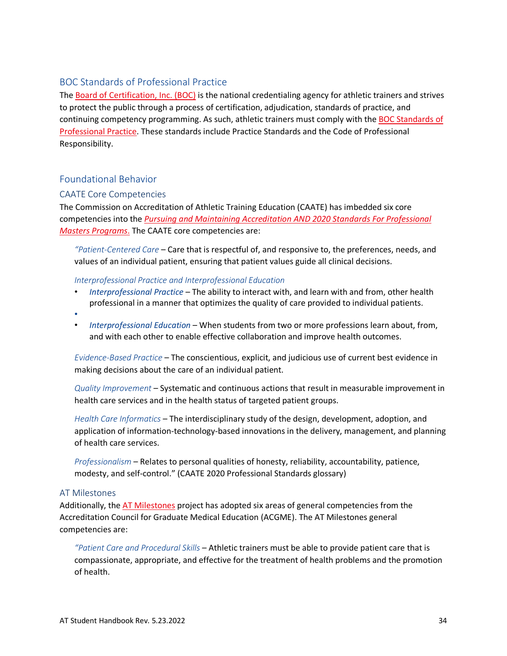#### BOC Standards of Professional Practice

The [Board of Certification, Inc. \(BOC\)](https://www.bocatc.org/) is the national credentialing agency for athletic trainers and strives to protect the public through a process of certification, adjudication, standards of practice, and continuing competency programming. As such, athletic trainers must comply with the [BOC Standards of](https://www.bocatc.org/athletic-trainers/maintain-certification/standards-of-professional-practice/standards-of-professional-practice)  [Professional Practice.](https://www.bocatc.org/athletic-trainers/maintain-certification/standards-of-professional-practice/standards-of-professional-practice) These standards include Practice Standards and the Code of Professional Responsibility.

#### Foundational Behavior

#### CAATE Core Competencies

The Commission on Accreditation of Athletic Training Education (CAATE) has imbedded six core competencies into the *[Pursuing and Maintaining Accreditation](https://caate.net/wp-content/uploads/2022/04/2020-Purusing-and-Maintaining-Accreditation_Feb_22_edits.pdf) AND 2020 Standards For Professional [Masters Programs](https://caate.net/wp-content/uploads/2022/04/2020-Purusing-and-Maintaining-Accreditation_Feb_22_edits.pdf)*. The CAATE core competencies are:

*"Patient-Centered Care* – Care that is respectful of, and responsive to, the preferences, needs, and values of an individual patient, ensuring that patient values guide all clinical decisions.

#### *Interprofessional Practice and Interprofessional Education*

- *Interprofessional Practice* The ability to interact with, and learn with and from, other health professional in a manner that optimizes the quality of care provided to individual patients.
- •
- *Interprofessional Education* When students from two or more professions learn about, from, and with each other to enable effective collaboration and improve health outcomes.

*Evidence-Based Practice* – The conscientious, explicit, and judicious use of current best evidence in making decisions about the care of an individual patient.

*Quality Improvement* – Systematic and continuous actions that result in measurable improvement in health care services and in the health status of targeted patient groups.

*Health Care Informatics* – The interdisciplinary study of the design, development, adoption, and application of information-technology-based innovations in the delivery, management, and planning of health care services.

*Professionalism* – Relates to personal qualities of honesty, reliability, accountability, patience, modesty, and self-control." (CAATE 2020 Professional Standards glossary)

#### AT Milestones

Additionally, the [AT Milestones](https://www.atmilestones.com/) project has adopted six areas of general competencies from the Accreditation Council for Graduate Medical Education (ACGME). The AT Milestones general competencies are:

*"Patient Care and Procedural Skills* – Athletic trainers must be able to provide patient care that is compassionate, appropriate, and effective for the treatment of health problems and the promotion of health.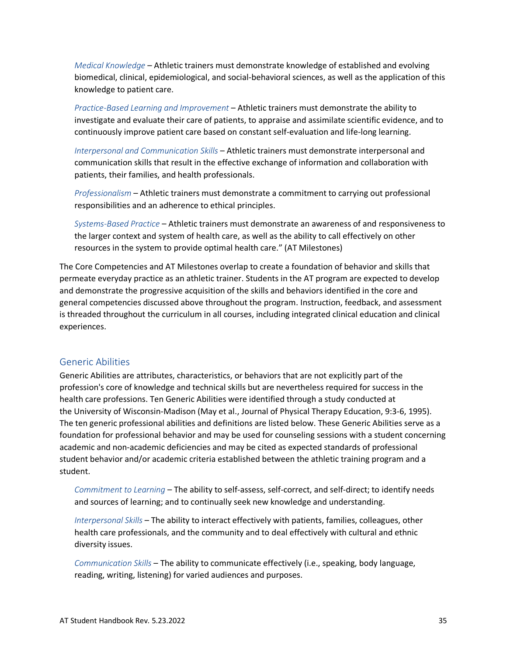*Medical Knowledge* – Athletic trainers must demonstrate knowledge of established and evolving biomedical, clinical, epidemiological, and social-behavioral sciences, as well as the application of this knowledge to patient care.

*Practice-Based Learning and Improvement* – Athletic trainers must demonstrate the ability to investigate and evaluate their care of patients, to appraise and assimilate scientific evidence, and to continuously improve patient care based on constant self-evaluation and life-long learning.

*Interpersonal and Communication Skills* – Athletic trainers must demonstrate interpersonal and communication skills that result in the effective exchange of information and collaboration with patients, their families, and health professionals.

*Professionalism* – Athletic trainers must demonstrate a commitment to carrying out professional responsibilities and an adherence to ethical principles.

*Systems-Based Practice* – Athletic trainers must demonstrate an awareness of and responsiveness to the larger context and system of health care, as well as the ability to call effectively on other resources in the system to provide optimal health care." (AT Milestones)

The Core Competencies and AT Milestones overlap to create a foundation of behavior and skills that permeate everyday practice as an athletic trainer. Students in the AT program are expected to develop and demonstrate the progressive acquisition of the skills and behaviors identified in the core and general competencies discussed above throughout the program. Instruction, feedback, and assessment is threaded throughout the curriculum in all courses, including integrated clinical education and clinical experiences.

#### Generic Abilities

Generic Abilities are attributes, characteristics, or behaviors that are not explicitly part of the profession's core of knowledge and technical skills but are nevertheless required for success in the health care professions. Ten Generic Abilities were identified through a study conducted at the University of Wisconsin-Madison (May et al., Journal of Physical Therapy Education, 9:3-6, 1995). The ten generic professional abilities and definitions are listed below. These Generic Abilities serve as a foundation for professional behavior and may be used for counseling sessions with a student concerning academic and non-academic deficiencies and may be cited as expected standards of professional student behavior and/or academic criteria established between the athletic training program and a student.

*Commitment to Learning* – The ability to self-assess, self-correct, and self-direct; to identify needs and sources of learning; and to continually seek new knowledge and understanding.

*Interpersonal Skills* – The ability to interact effectively with patients, families, colleagues, other health care professionals, and the community and to deal effectively with cultural and ethnic diversity issues.

*Communication Skills* – The ability to communicate effectively (i.e., speaking, body language, reading, writing, listening) for varied audiences and purposes.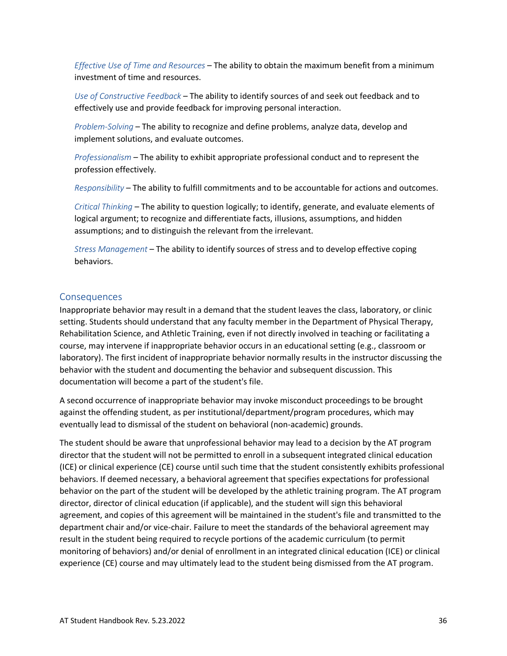*Effective Use of Time and Resources* – The ability to obtain the maximum benefit from a minimum investment of time and resources.

*Use of Constructive Feedback* – The ability to identify sources of and seek out feedback and to effectively use and provide feedback for improving personal interaction.

*Problem-Solving* – The ability to recognize and define problems, analyze data, develop and implement solutions, and evaluate outcomes.

*Professionalism* – The ability to exhibit appropriate professional conduct and to represent the profession effectively.

*Responsibility* – The ability to fulfill commitments and to be accountable for actions and outcomes.

*Critical Thinking* – The ability to question logically; to identify, generate, and evaluate elements of logical argument; to recognize and differentiate facts, illusions, assumptions, and hidden assumptions; and to distinguish the relevant from the irrelevant.

*Stress Management* – The ability to identify sources of stress and to develop effective coping behaviors.

#### Consequences

Inappropriate behavior may result in a demand that the student leaves the class, laboratory, or clinic setting. Students should understand that any faculty member in the Department of Physical Therapy, Rehabilitation Science, and Athletic Training, even if not directly involved in teaching or facilitating a course, may intervene if inappropriate behavior occurs in an educational setting (e.g., classroom or laboratory). The first incident of inappropriate behavior normally results in the instructor discussing the behavior with the student and documenting the behavior and subsequent discussion. This documentation will become a part of the student's file.

A second occurrence of inappropriate behavior may invoke misconduct proceedings to be brought against the offending student, as per institutional/department/program procedures, which may eventually lead to dismissal of the student on behavioral (non-academic) grounds.

The student should be aware that unprofessional behavior may lead to a decision by the AT program director that the student will not be permitted to enroll in a subsequent integrated clinical education (ICE) or clinical experience (CE) course until such time that the student consistently exhibits professional behaviors. If deemed necessary, a behavioral agreement that specifies expectations for professional behavior on the part of the student will be developed by the athletic training program. The AT program director, director of clinical education (if applicable), and the student will sign this behavioral agreement, and copies of this agreement will be maintained in the student's file and transmitted to the department chair and/or vice-chair. Failure to meet the standards of the behavioral agreement may result in the student being required to recycle portions of the academic curriculum (to permit monitoring of behaviors) and/or denial of enrollment in an integrated clinical education (ICE) or clinical experience (CE) course and may ultimately lead to the student being dismissed from the AT program.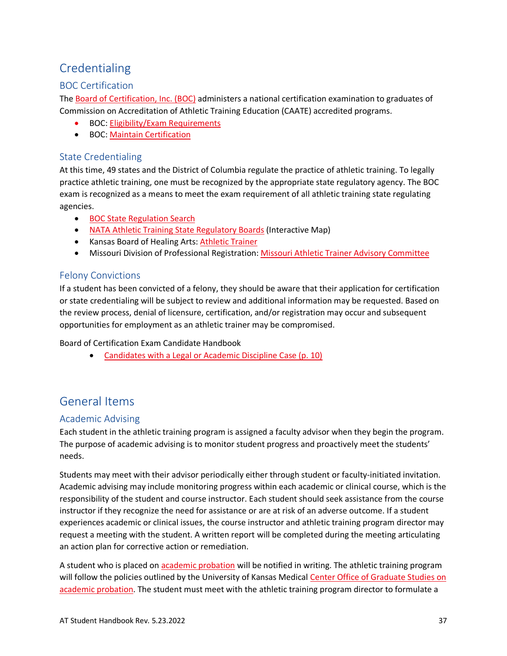# <span id="page-42-0"></span>Credentialing

#### BOC Certification

The [Board of Certification, Inc. \(BOC\)](https://bocatc.org/) administers a national certification examination to graduates of Commission on Accreditation of Athletic Training Education (CAATE) accredited programs.

- BOC[: Eligibility/Exam Requirements](https://bocatc.org/candidates/steps-to-become-certified/determine-eligibility/determine-exam-eligibility)
- BOC[: Maintain Certification](https://bocatc.org/athletic-trainers/maintain-certification)

#### State Credentialing

At this time, 49 states and the District of Columbia regulate the practice of athletic training. To legally practice athletic training, one must be recognized by the appropriate state regulatory agency. The BOC exam is recognized as a means to meet the exam requirement of all athletic training state regulating agencies.

- [BOC State Regulation Search](https://bocatc.org/athletic-trainers/state-regulation)
- [NATA Athletic Training State Regulatory Boards](https://members.nata.org/gov/state/regulatory-boards/map.cfm) (Interactive Map)
- Kansas Board of Healing Arts: **Athletic Trainer**
- Missouri Division of Professional Registration: [Missouri Athletic Trainer Advisory Committee](https://pr.mo.gov/athletictrainers.asp)

#### Felony Convictions

If a student has been convicted of a felony, they should be aware that their application for certification or state credentialing will be subject to review and additional information may be requested. Based on the review process, denial of licensure, certification, and/or registration may occur and subsequent opportunities for employment as an athletic trainer may be compromised.

Board of Certification Exam Candidate Handbook

• [Candidates with a Legal or Academic Discipline Case \(p. 10\)](https://online.flowpaper.com/7f6907b2/202021BOCCertificationExamCandidateHandbook/#page=10)

### <span id="page-42-1"></span>General Items

#### <span id="page-42-2"></span>Academic Advising

Each student in the athletic training program is assigned a faculty advisor when they begin the program. The purpose of academic advising is to monitor student progress and proactively meet the students' needs.

Students may meet with their advisor periodically either through student or faculty-initiated invitation. Academic advising may include monitoring progress within each academic or clinical course, which is the responsibility of the student and course instructor. Each student should seek assistance from the course instructor if they recognize the need for assistance or are at risk of an adverse outcome. If a student experiences academic or clinical issues, the course instructor and athletic training program director may request a meeting with the student. A written report will be completed during the meeting articulating an action plan for corrective action or remediation.

A student who is placed on [academic probation](https://catalog.ku.edu/graduate-studies/kumc/#AcademicProbation) will be notified in writing. The athletic training program will follow the policies outlined by the University of Kansas Medical Center Office of Graduate Studies on [academic probation.](https://catalog.ku.edu/graduate-studies/kumc/#AcademicProbation) The student must meet with the athletic training program director to formulate a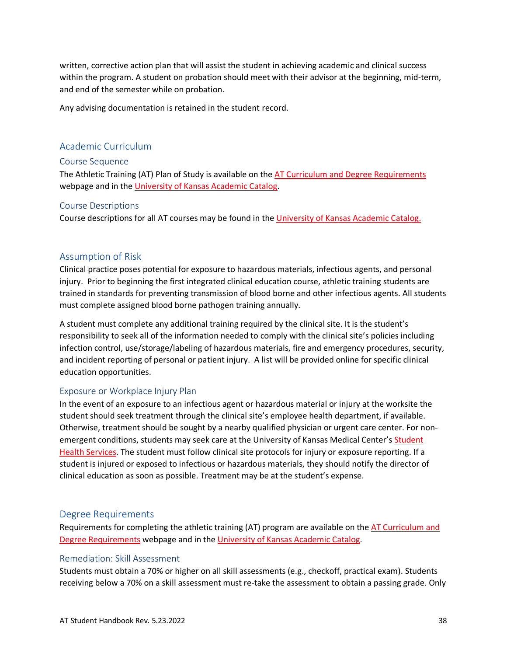written, corrective action plan that will assist the student in achieving academic and clinical success within the program. A student on probation should meet with their advisor at the beginning, mid-term, and end of the semester while on probation.

Any advising documentation is retained in the student record.

#### <span id="page-43-0"></span>Academic Curriculum

#### Course Sequence

The Athletic Training (AT) Plan of Study is available on the [AT Curriculum and Degree Requirements](https://www.kumc.edu/school-of-health-professions/academics/departments/physical-therapy-rehabilitation-science-and-athletic-training/academics/master-of-science-in-athletic-training/curriculum-and-degree-requirements.html) webpage and in the [University of Kansas Academic Catalog.](https://catalog.ku.edu/health-professions/physical-therapy-rehabilitation-science/mat/#planofstudytext)

#### Course Descriptions

Course descriptions for all AT courses may be found in the *University of Kansas Academic Catalog.* 

#### <span id="page-43-1"></span>Assumption of Risk

Clinical practice poses potential for exposure to hazardous materials, infectious agents, and personal injury. Prior to beginning the first integrated clinical education course, athletic training students are trained in standards for preventing transmission of blood borne and other infectious agents. All students must complete assigned blood borne pathogen training annually.

A student must complete any additional training required by the clinical site. It is the student's responsibility to seek all of the information needed to comply with the clinical site's policies including infection control, use/storage/labeling of hazardous materials, fire and emergency procedures, security, and incident reporting of personal or patient injury. A list will be provided online for specific clinical education opportunities.

#### Exposure or Workplace Injury Plan

In the event of an exposure to an infectious agent or hazardous material or injury at the worksite the student should seek treatment through the clinical site's employee health department, if available. Otherwise, treatment should be sought by a nearby qualified physician or urgent care center. For nonemergent conditions, students may seek care at the University of Kansas Medical Center's Student [Health Services.](https://www.kumc.edu/student-affairs/student-health-services.html) The student must follow clinical site protocols for injury or exposure reporting. If a student is injured or exposed to infectious or hazardous materials, they should notify the director of clinical education as soon as possible. Treatment may be at the student's expense.

#### <span id="page-43-2"></span>Degree Requirements

Requirements for completing the athletic training (AT) program are available on the [AT Curriculum and](https://www.kumc.edu/school-of-health-professions/academics/departments/physical-therapy-rehabilitation-science-and-athletic-training/academics/master-of-science-in-athletic-training/curriculum-and-degree-requirements.html)  [Degree Requirements](https://www.kumc.edu/school-of-health-professions/academics/departments/physical-therapy-rehabilitation-science-and-athletic-training/academics/master-of-science-in-athletic-training/curriculum-and-degree-requirements.html) webpage and in the [University of Kansas Academic Catalog.](https://catalog.ku.edu/health-professions/physical-therapy-rehabilitation-science/mat/#text)

#### Remediation: Skill Assessment

Students must obtain a 70% or higher on all skill assessments (e.g., checkoff, practical exam). Students receiving below a 70% on a skill assessment must re-take the assessment to obtain a passing grade. Only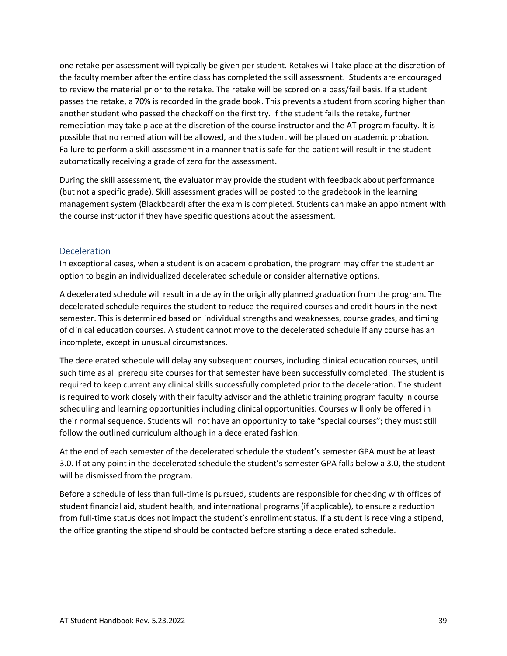one retake per assessment will typically be given per student. Retakes will take place at the discretion of the faculty member after the entire class has completed the skill assessment. Students are encouraged to review the material prior to the retake. The retake will be scored on a pass/fail basis. If a student passes the retake, a 70% is recorded in the grade book. This prevents a student from scoring higher than another student who passed the checkoff on the first try. If the student fails the retake, further remediation may take place at the discretion of the course instructor and the AT program faculty. It is possible that no remediation will be allowed, and the student will be placed on academic probation. Failure to perform a skill assessment in a manner that is safe for the patient will result in the student automatically receiving a grade of zero for the assessment.

During the skill assessment, the evaluator may provide the student with feedback about performance (but not a specific grade). Skill assessment grades will be posted to the gradebook in the learning management system (Blackboard) after the exam is completed. Students can make an appointment with the course instructor if they have specific questions about the assessment.

#### Deceleration

In exceptional cases, when a student is on academic probation, the program may offer the student an option to begin an individualized decelerated schedule or consider alternative options.

A decelerated schedule will result in a delay in the originally planned graduation from the program. The decelerated schedule requires the student to reduce the required courses and credit hours in the next semester. This is determined based on individual strengths and weaknesses, course grades, and timing of clinical education courses. A student cannot move to the decelerated schedule if any course has an incomplete, except in unusual circumstances.

The decelerated schedule will delay any subsequent courses, including clinical education courses, until such time as all prerequisite courses for that semester have been successfully completed. The student is required to keep current any clinical skills successfully completed prior to the deceleration. The student is required to work closely with their faculty advisor and the athletic training program faculty in course scheduling and learning opportunities including clinical opportunities. Courses will only be offered in their normal sequence. Students will not have an opportunity to take "special courses"; they must still follow the outlined curriculum although in a decelerated fashion.

At the end of each semester of the decelerated schedule the student's semester GPA must be at least 3.0. If at any point in the decelerated schedule the student's semester GPA falls below a 3.0, the student will be dismissed from the program.

Before a schedule of less than full-time is pursued, students are responsible for checking with offices of student financial aid, student health, and international programs (if applicable), to ensure a reduction from full-time status does not impact the student's enrollment status. If a student is receiving a stipend, the office granting the stipend should be contacted before starting a decelerated schedule.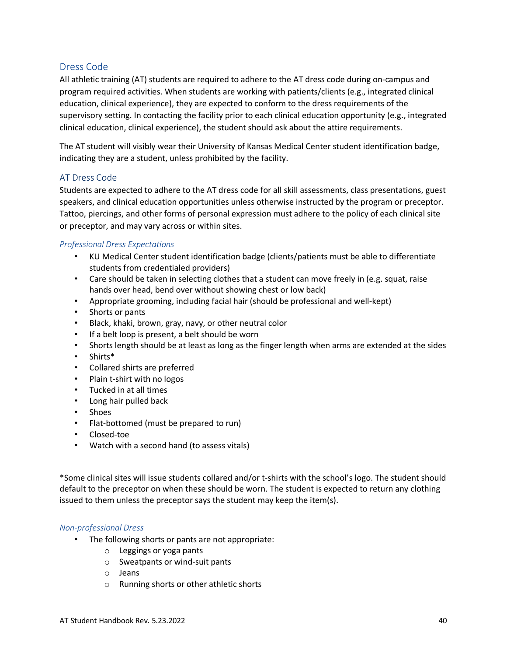#### <span id="page-45-0"></span>Dress Code

All athletic training (AT) students are required to adhere to the AT dress code during on-campus and program required activities. When students are working with patients/clients (e.g., integrated clinical education, clinical experience), they are expected to conform to the dress requirements of the supervisory setting. In contacting the facility prior to each clinical education opportunity (e.g., integrated clinical education, clinical experience), the student should ask about the attire requirements.

The AT student will visibly wear their University of Kansas Medical Center student identification badge, indicating they are a student, unless prohibited by the facility.

#### AT Dress Code

Students are expected to adhere to the AT dress code for all skill assessments, class presentations, guest speakers, and clinical education opportunities unless otherwise instructed by the program or preceptor. Tattoo, piercings, and other forms of personal expression must adhere to the policy of each clinical site or preceptor, and may vary across or within sites.

#### *Professional Dress Expectations*

- KU Medical Center student identification badge (clients/patients must be able to differentiate students from credentialed providers)
- Care should be taken in selecting clothes that a student can move freely in (e.g. squat, raise hands over head, bend over without showing chest or low back)
- Appropriate grooming, including facial hair (should be professional and well-kept)
- Shorts or pants
- Black, khaki, brown, gray, navy, or other neutral color
- If a belt loop is present, a belt should be worn
- Shorts length should be at least as long as the finger length when arms are extended at the sides
- Shirts\*
- Collared shirts are preferred
- Plain t-shirt with no logos
- Tucked in at all times
- Long hair pulled back
- Shoes
- Flat-bottomed (must be prepared to run)
- Closed-toe
- Watch with a second hand (to assess vitals)

\*Some clinical sites will issue students collared and/or t-shirts with the school's logo. The student should default to the preceptor on when these should be worn. The student is expected to return any clothing issued to them unless the preceptor says the student may keep the item(s).

#### *Non-professional Dress*

- The following shorts or pants are not appropriate:
	- o Leggings or yoga pants
	- o Sweatpants or wind-suit pants
	- o Jeans
	- o Running shorts or other athletic shorts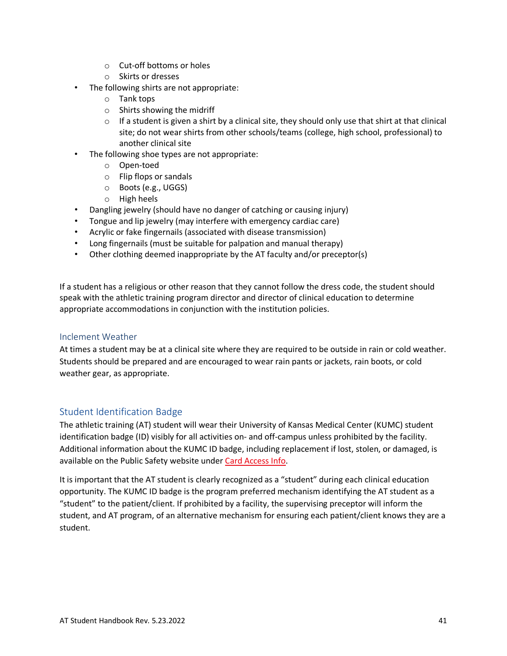- o Cut-off bottoms or holes
- o Skirts or dresses
- The following shirts are not appropriate:
	- o Tank tops
	- o Shirts showing the midriff
	- $\circ$  If a student is given a shirt by a clinical site, they should only use that shirt at that clinical site; do not wear shirts from other schools/teams (college, high school, professional) to another clinical site
- The following shoe types are not appropriate:
	- o Open-toed
	- o Flip flops or sandals
	- o Boots (e.g., UGGS)
	- o High heels
- Dangling jewelry (should have no danger of catching or causing injury)
- Tongue and lip jewelry (may interfere with emergency cardiac care)
- Acrylic or fake fingernails (associated with disease transmission)
- Long fingernails (must be suitable for palpation and manual therapy)
- Other clothing deemed inappropriate by the AT faculty and/or preceptor(s)

If a student has a religious or other reason that they cannot follow the dress code, the student should speak with the athletic training program director and director of clinical education to determine appropriate accommodations in conjunction with the institution policies.

#### Inclement Weather

At times a student may be at a clinical site where they are required to be outside in rain or cold weather. Students should be prepared and are encouraged to wear rain pants or jackets, rain boots, or cold weather gear, as appropriate.

#### <span id="page-46-0"></span>Student Identification Badge

The athletic training (AT) student will wear their University of Kansas Medical Center (KUMC) student identification badge (ID) visibly for all activities on- and off-campus unless prohibited by the facility. Additional information about the KUMC ID badge, including replacement if lost, stolen, or damaged, is available on the Public Safety website under [Card Access Info.](https://www.kumc.edu/public-safety/campus-safety/card-access-info.html)

It is important that the AT student is clearly recognized as a "student" during each clinical education opportunity. The KUMC ID badge is the program preferred mechanism identifying the AT student as a "student" to the patient/client. If prohibited by a facility, the supervising preceptor will inform the student, and AT program, of an alternative mechanism for ensuring each patient/client knows they are a student.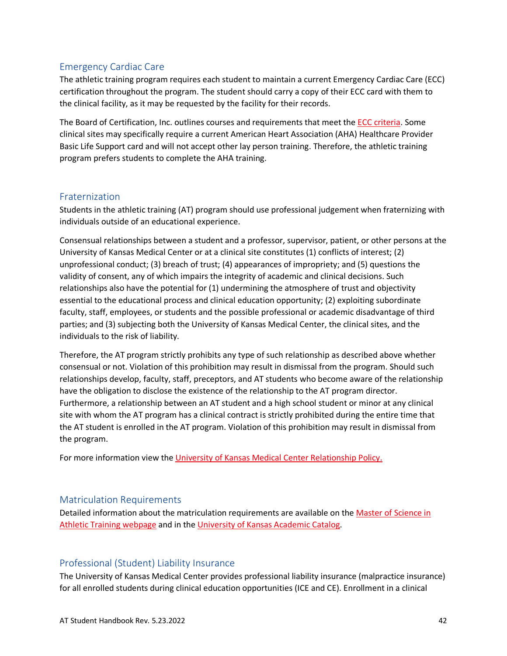#### <span id="page-47-0"></span>Emergency Cardiac Care

The athletic training program requires each student to maintain a current Emergency Cardiac Care (ECC) certification throughout the program. The student should carry a copy of their ECC card with them to the clinical facility, as it may be requested by the facility for their records.

The Board of Certification, Inc. outlines courses and requirements that meet the **ECC criteria**. Some clinical sites may specifically require a current American Heart Association (AHA) Healthcare Provider Basic Life Support card and will not accept other lay person training. Therefore, the athletic training program prefers students to complete the AHA training.

#### <span id="page-47-1"></span>Fraternization

Students in the athletic training (AT) program should use professional judgement when fraternizing with individuals outside of an educational experience.

Consensual relationships between a student and a professor, supervisor, patient, or other persons at the University of Kansas Medical Center or at a clinical site constitutes (1) conflicts of interest; (2) unprofessional conduct; (3) breach of trust; (4) appearances of impropriety; and (5) questions the validity of consent, any of which impairs the integrity of academic and clinical decisions. Such relationships also have the potential for (1) undermining the atmosphere of trust and objectivity essential to the educational process and clinical education opportunity; (2) exploiting subordinate faculty, staff, employees, or students and the possible professional or academic disadvantage of third parties; and (3) subjecting both the University of Kansas Medical Center, the clinical sites, and the individuals to the risk of liability.

Therefore, the AT program strictly prohibits any type of such relationship as described above whether consensual or not. Violation of this prohibition may result in dismissal from the program. Should such relationships develop, faculty, staff, preceptors, and AT students who become aware of the relationship have the obligation to disclose the existence of the relationship to the AT program director. Furthermore, a relationship between an AT student and a high school student or minor at any clinical site with whom the AT program has a clinical contract is strictly prohibited during the entire time that the AT student is enrolled in the AT program. Violation of this prohibition may result in dismissal from the program.

For more information view the [University of Kansas Medical Center Relationship Policy.](https://kumc-publicpoliciesandprocedures.policystat.com/policy/8460782/latest/)

#### <span id="page-47-2"></span>Matriculation Requirements

Detailed information about the matriculation requirements are available on the [Master of Science in](https://www.kumc.edu/school-of-health-professions/physical-therapy-and-rehabilitation-science/ms-in-athletic-training.html)  [Athletic Training](https://www.kumc.edu/school-of-health-professions/physical-therapy-and-rehabilitation-science/ms-in-athletic-training.html) webpage and in th[e University of Kansas Academic Catalog.](https://catalog.ku.edu/health-professions/physical-therapy-rehabilitation-science/mat/#text)

#### <span id="page-47-3"></span>Professional (Student) Liability Insurance

The University of Kansas Medical Center provides professional liability insurance (malpractice insurance) for all enrolled students during clinical education opportunities (ICE and CE). Enrollment in a clinical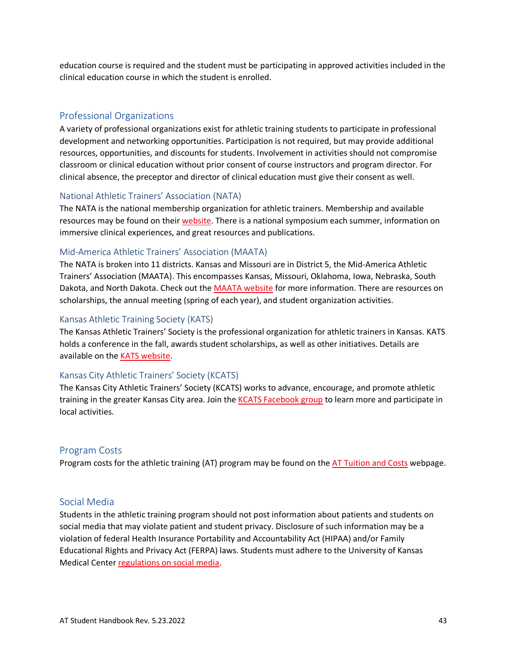education course is required and the student must be participating in approved activities included in the clinical education course in which the student is enrolled.

#### <span id="page-48-0"></span>Professional Organizations

A variety of professional organizations exist for athletic training students to participate in professional development and networking opportunities. Participation is not required, but may provide additional resources, opportunities, and discounts for students. Involvement in activities should not compromise classroom or clinical education without prior consent of course instructors and program director. For clinical absence, the preceptor and director of clinical education must give their consent as well.

#### National Athletic Trainers' Association (NATA)

The NATA is the national membership organization for athletic trainers. Membership and available resources may be found on their [website.](https://www.nata.org/) There is a national symposium each summer, information on immersive clinical experiences, and great resources and publications.

#### Mid-America Athletic Trainers' Association (MAATA)

The NATA is broken into 11 districts. Kansas and Missouri are in District 5, the Mid-America Athletic Trainers' Association (MAATA). This encompasses Kansas, Missouri, Oklahoma, Iowa, Nebraska, South Dakota, and North Dakota. Check out the [MAATA website](https://www.maatad5.org/) for more information. There are resources on scholarships, the annual meeting (spring of each year), and student organization activities.

#### Kansas Athletic Training Society (KATS)

The Kansas Athletic Trainers' Society is the professional organization for athletic trainers in Kansas. KATS holds a conference in the fall, awards student scholarships, as well as other initiatives. Details are available on th[e KATS website.](https://ksathletictrainers.org/)

#### Kansas City Athletic Trainers' Society (KCATS)

The Kansas City Athletic Trainers' Society (KCATS) works to advance, encourage, and promote athletic training in the greater Kansas City area. Join the [KCATS Facebook group](https://www.facebook.com/groups/KCATS/) to learn more and participate in local activities.

#### <span id="page-48-1"></span>Program Costs

Program costs for the athletic training (AT) program may be found on the [AT Tuition and Costs](https://www.kumc.edu/school-of-health-professions/academics/departments/physical-therapy-rehabilitation-science-and-athletic-training/academics/master-of-science-in-athletic-training/costs-and-financial-aid.html) webpage.

#### <span id="page-48-2"></span>Social Media

Students in the athletic training program should not post information about patients and students on social media that may violate patient and student privacy. Disclosure of such information may be a violation of federal Health Insurance Portability and Accountability Act (HIPAA) and/or Family Educational Rights and Privacy Act (FERPA) laws. Students must adhere to the University of Kansas Medical Cente[r regulations on social media.](https://kumc-publicpoliciesandprocedures.policystat.com/policy/5607024/latest/)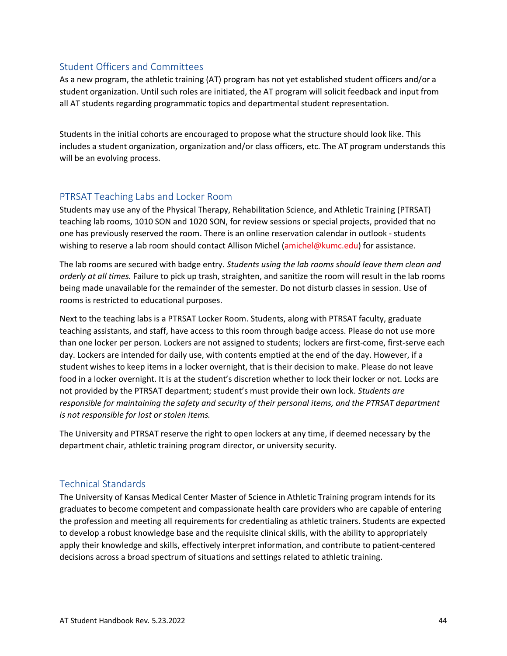#### <span id="page-49-0"></span>Student Officers and Committees

As a new program, the athletic training (AT) program has not yet established student officers and/or a student organization. Until such roles are initiated, the AT program will solicit feedback and input from all AT students regarding programmatic topics and departmental student representation.

Students in the initial cohorts are encouraged to propose what the structure should look like. This includes a student organization, organization and/or class officers, etc. The AT program understands this will be an evolving process.

#### <span id="page-49-1"></span>PTRSAT Teaching Labs and Locker Room

Students may use any of the Physical Therapy, Rehabilitation Science, and Athletic Training (PTRSAT) teaching lab rooms, 1010 SON and 1020 SON, for review sessions or special projects, provided that no one has previously reserved the room. There is an online reservation calendar in outlook - students wishing to reserve a lab room should contact Allison Michel [\(amichel@kumc.edu\)](mailto:amichel@kumc.edu) for assistance.

The lab rooms are secured with badge entry. *Students using the lab rooms should leave them clean and orderly at all times.* Failure to pick up trash, straighten, and sanitize the room will result in the lab rooms being made unavailable for the remainder of the semester. Do not disturb classes in session. Use of rooms is restricted to educational purposes.

Next to the teaching labs is a PTRSAT Locker Room. Students, along with PTRSAT faculty, graduate teaching assistants, and staff, have access to this room through badge access. Please do not use more than one locker per person. Lockers are not assigned to students; lockers are first-come, first-serve each day. Lockers are intended for daily use, with contents emptied at the end of the day. However, if a student wishes to keep items in a locker overnight, that is their decision to make. Please do not leave food in a locker overnight. It is at the student's discretion whether to lock their locker or not. Locks are not provided by the PTRSAT department; student's must provide their own lock. *Students are responsible for maintaining the safety and security of their personal items, and the PTRSAT department is not responsible for lost or stolen items.* 

The University and PTRSAT reserve the right to open lockers at any time, if deemed necessary by the department chair, athletic training program director, or university security.

#### <span id="page-49-2"></span>Technical Standards

The University of Kansas Medical Center Master of Science in Athletic Training program intends for its graduates to become competent and compassionate health care providers who are capable of entering the profession and meeting all requirements for credentialing as athletic trainers. Students are expected to develop a robust knowledge base and the requisite clinical skills, with the ability to appropriately apply their knowledge and skills, effectively interpret information, and contribute to patient-centered decisions across a broad spectrum of situations and settings related to athletic training.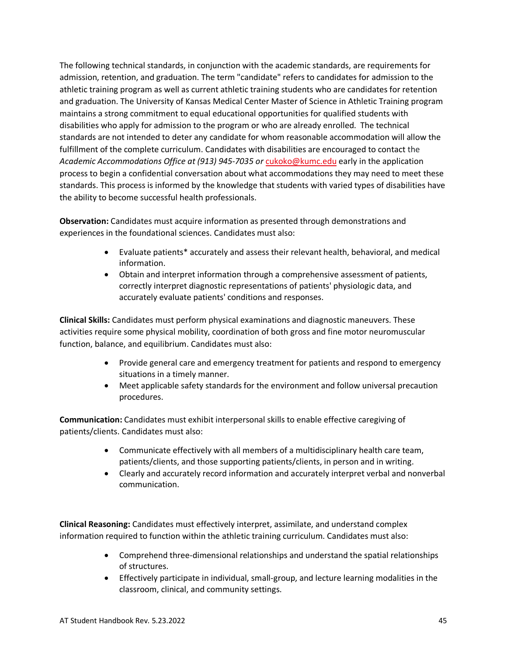The following technical standards, in conjunction with the academic standards, are requirements for admission, retention, and graduation. The term "candidate" refers to candidates for admission to the athletic training program as well as current athletic training students who are candidates for retention and graduation. The University of Kansas Medical Center Master of Science in Athletic Training program maintains a strong commitment to equal educational opportunities for qualified students with disabilities who apply for admission to the program or who are already enrolled. The technical standards are not intended to deter any candidate for whom reasonable accommodation will allow the fulfillment of the complete curriculum. Candidates with disabilities are encouraged to contact the *Academic Accommodations Office at (913) 945-7035 or* [cukoko@kumc.edu](mailto:cukoko@kumc.edu) early in the application process to begin a confidential conversation about what accommodations they may need to meet these standards. This process is informed by the knowledge that students with varied types of disabilities have the ability to become successful health professionals.

**Observation:** Candidates must acquire information as presented through demonstrations and experiences in the foundational sciences. Candidates must also:

- Evaluate patients\* accurately and assess their relevant health, behavioral, and medical information.
- Obtain and interpret information through a comprehensive assessment of patients, correctly interpret diagnostic representations of patients' physiologic data, and accurately evaluate patients' conditions and responses.

**Clinical Skills:** Candidates must perform physical examinations and diagnostic maneuvers. These activities require some physical mobility, coordination of both gross and fine motor neuromuscular function, balance, and equilibrium. Candidates must also:

- Provide general care and emergency treatment for patients and respond to emergency situations in a timely manner.
- Meet applicable safety standards for the environment and follow universal precaution procedures.

**Communication:** Candidates must exhibit interpersonal skills to enable effective caregiving of patients/clients. Candidates must also:

- Communicate effectively with all members of a multidisciplinary health care team, patients/clients, and those supporting patients/clients, in person and in writing.
- Clearly and accurately record information and accurately interpret verbal and nonverbal communication.

**Clinical Reasoning:** Candidates must effectively interpret, assimilate, and understand complex information required to function within the athletic training curriculum. Candidates must also:

- Comprehend three-dimensional relationships and understand the spatial relationships of structures.
- Effectively participate in individual, small-group, and lecture learning modalities in the classroom, clinical, and community settings.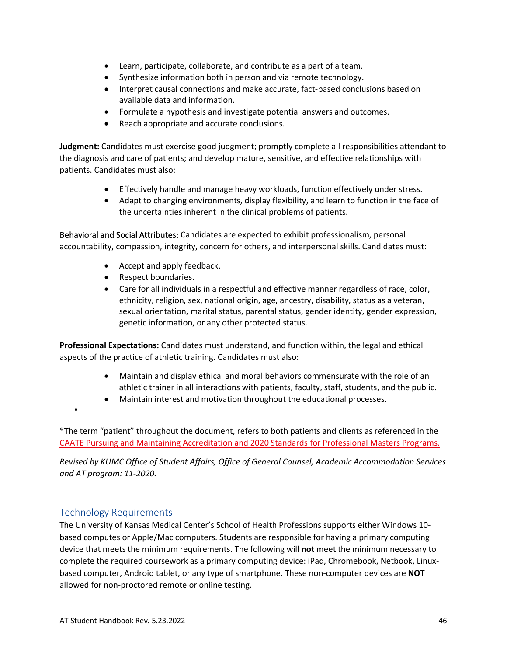- Learn, participate, collaborate, and contribute as a part of a team.
- Synthesize information both in person and via remote technology.
- Interpret causal connections and make accurate, fact-based conclusions based on available data and information.
- Formulate a hypothesis and investigate potential answers and outcomes.
- Reach appropriate and accurate conclusions.

**Judgment:** Candidates must exercise good judgment; promptly complete all responsibilities attendant to the diagnosis and care of patients; and develop mature, sensitive, and effective relationships with patients. Candidates must also:

- Effectively handle and manage heavy workloads, function effectively under stress.
- Adapt to changing environments, display flexibility, and learn to function in the face of the uncertainties inherent in the clinical problems of patients.

Behavioral and Social Attributes: Candidates are expected to exhibit professionalism, personal accountability, compassion, integrity, concern for others, and interpersonal skills. Candidates must:

- Accept and apply feedback.
- Respect boundaries.
- Care for all individuals in a respectful and effective manner regardless of race, color, ethnicity, religion, sex, national origin, age, ancestry, disability, status as a veteran, sexual orientation, marital status, parental status, gender identity, gender expression, genetic information, or any other protected status.

**Professional Expectations:** Candidates must understand, and function within, the legal and ethical aspects of the practice of athletic training. Candidates must also:

- Maintain and display ethical and moral behaviors commensurate with the role of an athletic trainer in all interactions with patients, faculty, staff, students, and the public.
- Maintain interest and motivation throughout the educational processes.

\*The term "patient" throughout the document, refers to both patients and clients as referenced in the [CAATE Pursuing and Maintaining Accreditation and 2020 Standards for Professional Masters Programs.](https://caate.net/wp-content/uploads/2020/11/Pursuing-and-Maintaining-Accreditation-AND-Guide-to-2020-Standards-FInal_Oct-2020.pdf)

*Revised by KUMC Office of Student Affairs, Office of General Counsel, Academic Accommodation Services and AT program: 11-2020.*

#### <span id="page-51-0"></span>Technology Requirements

•

The University of Kansas Medical Center's School of Health Professions supports either Windows 10 based computes or Apple/Mac computers. Students are responsible for having a primary computing device that meets the minimum requirements. The following will **not** meet the minimum necessary to complete the required coursework as a primary computing device: iPad, Chromebook, Netbook, Linuxbased computer, Android tablet, or any type of smartphone. These non-computer devices are **NOT**  allowed for non-proctored remote or online testing.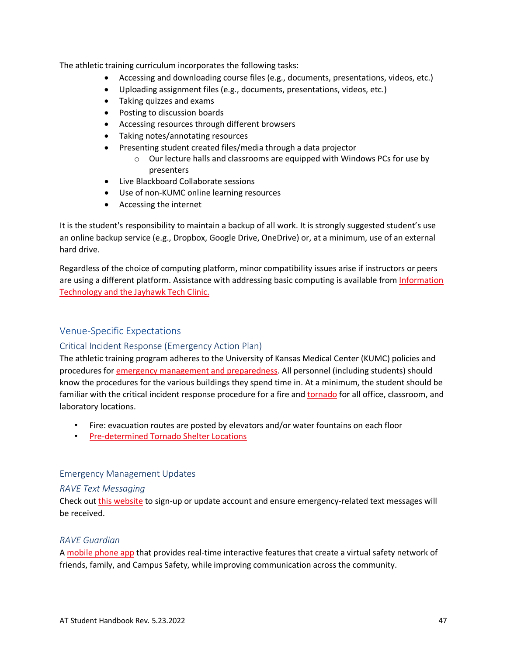The athletic training curriculum incorporates the following tasks:

- Accessing and downloading course files (e.g., documents, presentations, videos, etc.)
- Uploading assignment files (e.g., documents, presentations, videos, etc.)
- Taking quizzes and exams
- Posting to discussion boards
- Accessing resources through different browsers
- Taking notes/annotating resources
- Presenting student created files/media through a data projector
	- o Our lecture halls and classrooms are equipped with Windows PCs for use by presenters
- Live Blackboard Collaborate sessions
- Use of non-KUMC online learning resources
- Accessing the internet

It is the student's responsibility to maintain a backup of all work. It is strongly suggested student's use an online backup service (e.g., Dropbox, Google Drive, OneDrive) or, at a minimum, use of an external hard drive.

Regardless of the choice of computing platform, minor compatibility issues arise if instructors or peers are using a different platform. Assistance with addressing basic computing is available from Information [Technology and the Jayhawk Tech Clinic.](https://www.kumc.edu/information-technology.html)

#### <span id="page-52-0"></span>Venue-Specific Expectations

#### Critical Incident Response (Emergency Action Plan)

The athletic training program adheres to the University of Kansas Medical Center (KUMC) policies and procedures fo[r emergency management and preparedness.](https://kumed.sharepoint.com/sites/mykumc/em) All personnel (including students) should know the procedures for the various buildings they spend time in. At a minimum, the student should be familiar with the critical incident response procedure for a fire and [tornado](https://www.kumc.edu/emergency-management/emergency-procedures/inclement-weather/tornado.html) for all office, classroom, and laboratory locations.

- Fire: evacuation routes are posted by elevators and/or water fountains on each floor
- [Pre-determined Tornado Shelter Locations](https://www.kumc.edu/documents/emergmgmt/Tornado%20Shelter%20Locations%20Updated%202018.pdf)

#### Emergency Management Updates

#### *RAVE Text Messaging*

Check out [this website](https://kumed.sharepoint.com/sites/mykumc/em/Pages/Campus-Emergency-Communications-Overview.aspx) to sign-up or update account and ensure emergency-related text messages will be received.

#### *RAVE Guardian*

A [mobile phone app](https://www.kumc.edu/emergency-management/campus-emergency-communications/rave-guardian.html) that provides real-time interactive features that create a virtual safety network of friends, family, and Campus Safety, while improving communication across the community.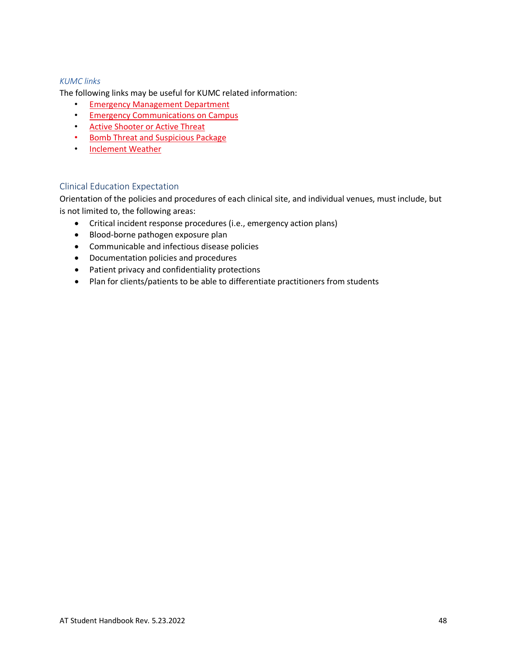#### *KUMC links*

The following links may be useful for KUMC related information:

- [Emergency Management Department](https://www.kumc.edu/emergency-management.html)
- [Emergency Communications on Campus](https://www.kumc.edu/emergency-management/campus-emergency-communications.html)
- [Active Shooter or Active Threat](https://kumed.sharepoint.com/sites/mykumc/em/Pages/Active-Shooter-Active-Threat.aspx)
- [Bomb Threat and Suspicious Package](https://kumed.sharepoint.com/sites/mykumc/em/Pages/Bomb-Threat-and-Suspicious-Package.aspx)
- [Inclement Weather](https://www.kumc.edu/emergency-management/emergency-procedures/inclement-weather.html)

#### Clinical Education Expectation

Orientation of the policies and procedures of each clinical site, and individual venues, must include, but is not limited to, the following areas:

- Critical incident response procedures (i.e., emergency action plans)
- Blood-borne pathogen exposure plan
- Communicable and infectious disease policies
- Documentation policies and procedures
- Patient privacy and confidentiality protections
- Plan for clients/patients to be able to differentiate practitioners from students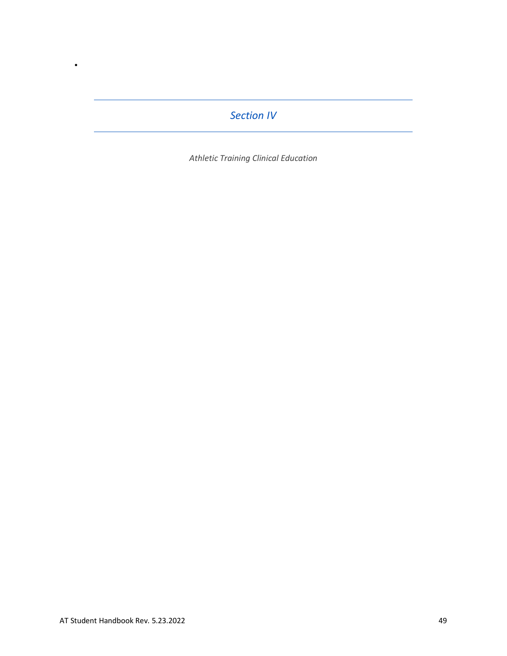### *Section IV*

*Athletic Training Clinical Education*

<span id="page-54-0"></span>•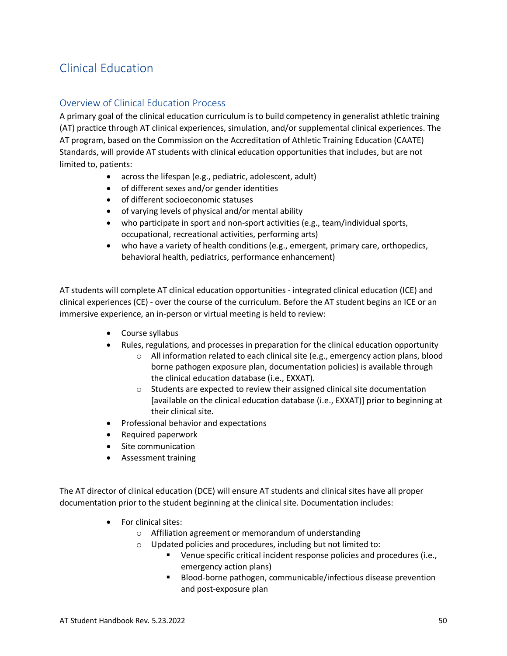# <span id="page-55-0"></span>Clinical Education

#### <span id="page-55-1"></span>Overview of Clinical Education Process

A primary goal of the clinical education curriculum is to build competency in generalist athletic training (AT) practice through AT clinical experiences, simulation, and/or supplemental clinical experiences. The AT program, based on the Commission on the Accreditation of Athletic Training Education (CAATE) Standards, will provide AT students with clinical education opportunities that includes, but are not limited to, patients:

- across the lifespan (e.g., pediatric, adolescent, adult)
- of different sexes and/or gender identities
- of different socioeconomic statuses
- of varying levels of physical and/or mental ability
- who participate in sport and non-sport activities (e.g., team/individual sports, occupational, recreational activities, performing arts)
- who have a variety of health conditions (e.g., emergent, primary care, orthopedics, behavioral health, pediatrics, performance enhancement)

AT students will complete AT clinical education opportunities - integrated clinical education (ICE) and clinical experiences (CE) - over the course of the curriculum. Before the AT student begins an ICE or an immersive experience, an in-person or virtual meeting is held to review:

- Course syllabus
- Rules, regulations, and processes in preparation for the clinical education opportunity
	- $\circ$  All information related to each clinical site (e.g., emergency action plans, blood borne pathogen exposure plan, documentation policies) is available through the clinical education database (i.e., EXXAT).
	- $\circ$  Students are expected to review their assigned clinical site documentation [available on the clinical education database (i.e., EXXAT)] prior to beginning at their clinical site.
- Professional behavior and expectations
- Required paperwork
- Site communication
- Assessment training

The AT director of clinical education (DCE) will ensure AT students and clinical sites have all proper documentation prior to the student beginning at the clinical site. Documentation includes:

- For clinical sites:
	- o Affiliation agreement or memorandum of understanding
	- o Updated policies and procedures, including but not limited to:
		- Venue specific critical incident response policies and procedures (i.e., emergency action plans)
		- Blood-borne pathogen, communicable/infectious disease prevention and post-exposure plan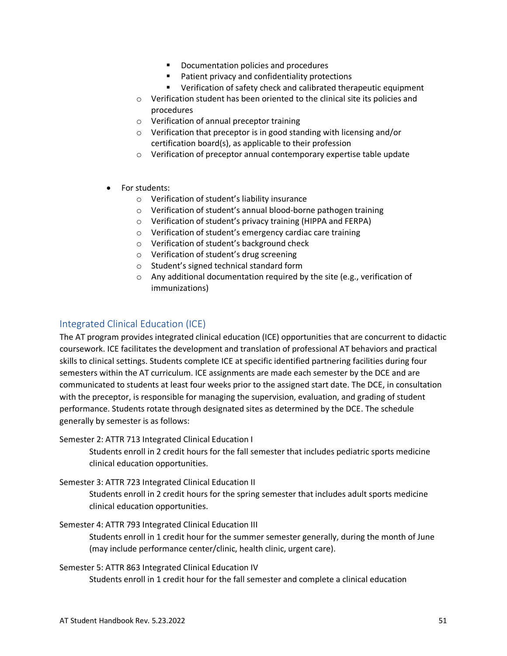- Documentation policies and procedures
- **Patient privacy and confidentiality protections**
- Verification of safety check and calibrated therapeutic equipment
- o Verification student has been oriented to the clinical site its policies and procedures
- o Verification of annual preceptor training
- o Verification that preceptor is in good standing with licensing and/or certification board(s), as applicable to their profession
- o Verification of preceptor annual contemporary expertise table update
- For students:
	- o Verification of student's liability insurance
	- o Verification of student's annual blood-borne pathogen training
	- o Verification of student's privacy training (HIPPA and FERPA)
	- o Verification of student's emergency cardiac care training
	- o Verification of student's background check
	- o Verification of student's drug screening
	- o Student's signed technical standard form
	- o Any additional documentation required by the site (e.g., verification of immunizations)

#### <span id="page-56-0"></span>Integrated Clinical Education (ICE)

The AT program provides integrated clinical education (ICE) opportunities that are concurrent to didactic coursework. ICE facilitates the development and translation of professional AT behaviors and practical skills to clinical settings. Students complete ICE at specific identified partnering facilities during four semesters within the AT curriculum. ICE assignments are made each semester by the DCE and are communicated to students at least four weeks prior to the assigned start date. The DCE, in consultation with the preceptor, is responsible for managing the supervision, evaluation, and grading of student performance. Students rotate through designated sites as determined by the DCE. The schedule generally by semester is as follows:

#### Semester 2: ATTR 713 Integrated Clinical Education I

Students enroll in 2 credit hours for the fall semester that includes pediatric sports medicine clinical education opportunities.

#### Semester 3: ATTR 723 Integrated Clinical Education II

Students enroll in 2 credit hours for the spring semester that includes adult sports medicine clinical education opportunities.

#### Semester 4: ATTR 793 Integrated Clinical Education III

Students enroll in 1 credit hour for the summer semester generally, during the month of June (may include performance center/clinic, health clinic, urgent care).

#### Semester 5: ATTR 863 Integrated Clinical Education IV

Students enroll in 1 credit hour for the fall semester and complete a clinical education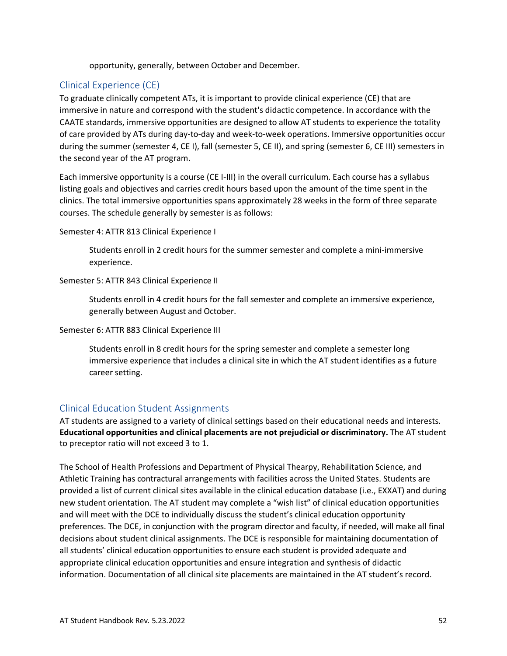opportunity, generally, between October and December.

#### <span id="page-57-0"></span>Clinical Experience (CE)

To graduate clinically competent ATs, it is important to provide clinical experience (CE) that are immersive in nature and correspond with the student's didactic competence. In accordance with the CAATE standards, immersive opportunities are designed to allow AT students to experience the totality of care provided by ATs during day-to-day and week-to-week operations. Immersive opportunities occur during the summer (semester 4, CE I), fall (semester 5, CE II), and spring (semester 6, CE III) semesters in the second year of the AT program.

Each immersive opportunity is a course (CE I-III) in the overall curriculum. Each course has a syllabus listing goals and objectives and carries credit hours based upon the amount of the time spent in the clinics. The total immersive opportunities spans approximately 28 weeks in the form of three separate courses. The schedule generally by semester is as follows:

Semester 4: ATTR 813 Clinical Experience I

Students enroll in 2 credit hours for the summer semester and complete a mini-immersive experience.

Semester 5: ATTR 843 Clinical Experience II

Students enroll in 4 credit hours for the fall semester and complete an immersive experience, generally between August and October.

#### Semester 6: ATTR 883 Clinical Experience III

Students enroll in 8 credit hours for the spring semester and complete a semester long immersive experience that includes a clinical site in which the AT student identifies as a future career setting.

#### <span id="page-57-1"></span>Clinical Education Student Assignments

AT students are assigned to a variety of clinical settings based on their educational needs and interests. **Educational opportunities and clinical placements are not prejudicial or discriminatory.** The AT student to preceptor ratio will not exceed 3 to 1.

The School of Health Professions and Department of Physical Thearpy, Rehabilitation Science, and Athletic Training has contractural arrangements with facilities across the United States. Students are provided a list of current clinical sites available in the clinical education database (i.e., EXXAT) and during new student orientation. The AT student may complete a "wish list" of clinical education opportunities and will meet with the DCE to individually discuss the student's clinical education opportunity preferences. The DCE, in conjunction with the program director and faculty, if needed, will make all final decisions about student clinical assignments. The DCE is responsible for maintaining documentation of all students' clinical education opportunities to ensure each student is provided adequate and appropriate clinical education opportunities and ensure integration and synthesis of didactic information. Documentation of all clinical site placements are maintained in the AT student's record.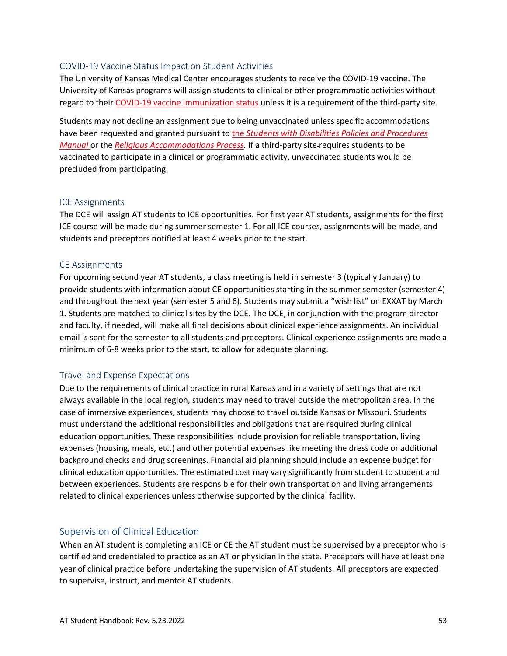#### COVID-19 Vaccine Status Impact on Student Activities

The University of Kansas Medical Center encourages students to receive the COVID-19 vaccine. The University of Kansas programs will assign students to clinical or other programmatic activities without regard to thei[r COVID-19 vaccine immunization status](https://www.kumc.edu/academic-and-student-affairs/departments/student-health-services/policies-and-procedures/covid-vaccine-policy.html) unless it is a requirement of the third-party site.

Students may not decline an assignment due to being unvaccinated unless specific accommodations have been requested and granted pursuant to the *[Students with Disabilities Policies and Procedures](https://kumc-publicpoliciesandprocedures.policystat.com/policy/9387972/latest/)  [Manual](https://kumc-publicpoliciesandprocedures.policystat.com/policy/9387972/latest/)* or the *[Religious Accommodations Process.](https://www.kumc.edu/compliance-services/office-of-compliance/equal-opportunity-office/discrimination/religious-accommodation.html)* If a third-party site requires students to be vaccinated to participate in a clinical or programmatic activity, unvaccinated students would be precluded from participating.

#### ICE Assignments

The DCE will assign AT students to ICE opportunities. For first year AT students, assignments for the first ICE course will be made during summer semester 1. For all ICE courses, assignments will be made, and students and preceptors notified at least 4 weeks prior to the start.

#### CE Assignments

For upcoming second year AT students, a class meeting is held in semester 3 (typically January) to provide students with information about CE opportunities starting in the summer semester (semester 4) and throughout the next year (semester 5 and 6). Students may submit a "wish list" on EXXAT by March 1. Students are matched to clinical sites by the DCE. The DCE, in conjunction with the program director and faculty, if needed, will make all final decisions about clinical experience assignments. An individual email is sent for the semester to all students and preceptors. Clinical experience assignments are made a minimum of 6-8 weeks prior to the start, to allow for adequate planning.

#### Travel and Expense Expectations

Due to the requirements of clinical practice in rural Kansas and in a variety of settings that are not always available in the local region, students may need to travel outside the metropolitan area. In the case of immersive experiences, students may choose to travel outside Kansas or Missouri. Students must understand the additional responsibilities and obligations that are required during clinical education opportunities. These responsibilities include provision for reliable transportation, living expenses (housing, meals, etc.) and other potential expenses like meeting the dress code or additional background checks and drug screenings. Financial aid planning should include an expense budget for clinical education opportunities. The estimated cost may vary significantly from student to student and between experiences. Students are responsible for their own transportation and living arrangements related to clinical experiences unless otherwise supported by the clinical facility.

#### <span id="page-58-0"></span>Supervision of Clinical Education

When an AT student is completing an ICE or CE the AT student must be supervised by a preceptor who is certified and credentialed to practice as an AT or physician in the state. Preceptors will have at least one year of clinical practice before undertaking the supervision of AT students. All preceptors are expected to supervise, instruct, and mentor AT students.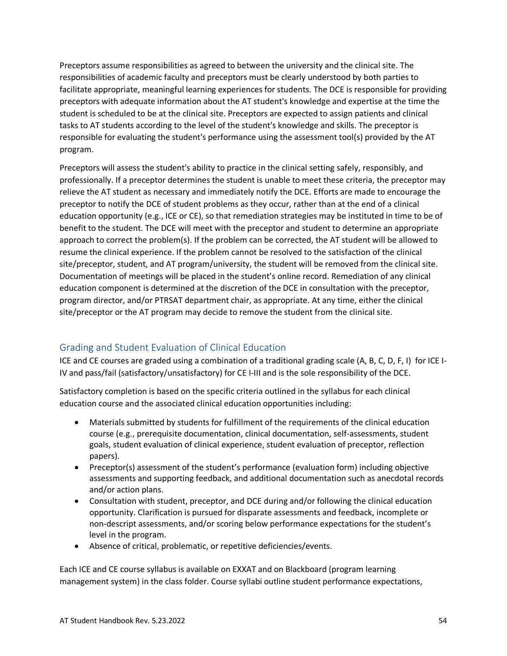Preceptors assume responsibilities as agreed to between the university and the clinical site. The responsibilities of academic faculty and preceptors must be clearly understood by both parties to facilitate appropriate, meaningful learning experiences for students. The DCE is responsible for providing preceptors with adequate information about the AT student's knowledge and expertise at the time the student is scheduled to be at the clinical site. Preceptors are expected to assign patients and clinical tasks to AT students according to the level of the student's knowledge and skills. The preceptor is responsible for evaluating the student's performance using the assessment tool(s) provided by the AT program.

Preceptors will assess the student's ability to practice in the clinical setting safely, responsibly, and professionally. If a preceptor determines the student is unable to meet these criteria, the preceptor may relieve the AT student as necessary and immediately notify the DCE. Efforts are made to encourage the preceptor to notify the DCE of student problems as they occur, rather than at the end of a clinical education opportunity (e.g., ICE or CE), so that remediation strategies may be instituted in time to be of benefit to the student. The DCE will meet with the preceptor and student to determine an appropriate approach to correct the problem(s). If the problem can be corrected, the AT student will be allowed to resume the clinical experience. If the problem cannot be resolved to the satisfaction of the clinical site/preceptor, student, and AT program/university, the student will be removed from the clinical site. Documentation of meetings will be placed in the student's online record. Remediation of any clinical education component is determined at the discretion of the DCE in consultation with the preceptor, program director, and/or PTRSAT department chair, as appropriate. At any time, either the clinical site/preceptor or the AT program may decide to remove the student from the clinical site.

### <span id="page-59-0"></span>Grading and Student Evaluation of Clinical Education

ICE and CE courses are graded using a combination of a traditional grading scale (A, B, C, D, F, I) for ICE I-IV and pass/fail (satisfactory/unsatisfactory) for CE I-III and is the sole responsibility of the DCE.

Satisfactory completion is based on the specific criteria outlined in the syllabus for each clinical education course and the associated clinical education opportunities including:

- Materials submitted by students for fulfillment of the requirements of the clinical education course (e.g., prerequisite documentation, clinical documentation, self-assessments, student goals, student evaluation of clinical experience, student evaluation of preceptor, reflection papers).
- Preceptor(s) assessment of the student's performance (evaluation form) including objective assessments and supporting feedback, and additional documentation such as anecdotal records and/or action plans.
- Consultation with student, preceptor, and DCE during and/or following the clinical education opportunity. Clarification is pursued for disparate assessments and feedback, incomplete or non-descript assessments, and/or scoring below performance expectations for the student's level in the program.
- Absence of critical, problematic, or repetitive deficiencies/events.

Each ICE and CE course syllabus is available on EXXAT and on Blackboard (program learning management system) in the class folder. Course syllabi outline student performance expectations,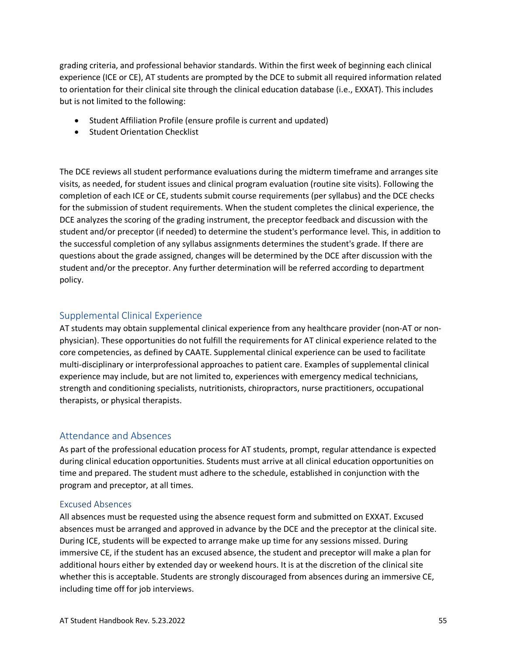grading criteria, and professional behavior standards. Within the first week of beginning each clinical experience (ICE or CE), AT students are prompted by the DCE to submit all required information related to orientation for their clinical site through the clinical education database (i.e., EXXAT). This includes but is not limited to the following:

- Student Affiliation Profile (ensure profile is current and updated)
- Student Orientation Checklist

The DCE reviews all student performance evaluations during the midterm timeframe and arranges site visits, as needed, for student issues and clinical program evaluation (routine site visits). Following the completion of each ICE or CE, students submit course requirements (per syllabus) and the DCE checks for the submission of student requirements. When the student completes the clinical experience, the DCE analyzes the scoring of the grading instrument, the preceptor feedback and discussion with the student and/or preceptor (if needed) to determine the student's performance level. This, in addition to the successful completion of any syllabus assignments determines the student's grade. If there are questions about the grade assigned, changes will be determined by the DCE after discussion with the student and/or the preceptor. Any further determination will be referred according to department policy.

#### <span id="page-60-0"></span>Supplemental Clinical Experience

AT students may obtain supplemental clinical experience from any healthcare provider (non-AT or nonphysician). These opportunities do not fulfill the requirements for AT clinical experience related to the core competencies, as defined by CAATE. Supplemental clinical experience can be used to facilitate multi-disciplinary or interprofessional approaches to patient care. Examples of supplemental clinical experience may include, but are not limited to, experiences with emergency medical technicians, strength and conditioning specialists, nutritionists, chiropractors, nurse practitioners, occupational therapists, or physical therapists.

#### <span id="page-60-1"></span>Attendance and Absences

As part of the professional education process for AT students, prompt, regular attendance is expected during clinical education opportunities. Students must arrive at all clinical education opportunities on time and prepared. The student must adhere to the schedule, established in conjunction with the program and preceptor, at all times.

#### Excused Absences

All absences must be requested using the absence request form and submitted on EXXAT. Excused absences must be arranged and approved in advance by the DCE and the preceptor at the clinical site. During ICE, students will be expected to arrange make up time for any sessions missed. During immersive CE, if the student has an excused absence, the student and preceptor will make a plan for additional hours either by extended day or weekend hours. It is at the discretion of the clinical site whether this is acceptable. Students are strongly discouraged from absences during an immersive CE, including time off for job interviews.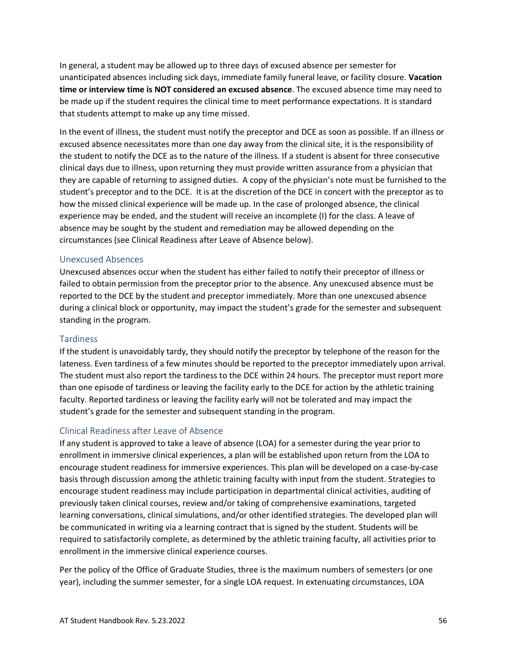In general, a student may be allowed up to three days of excused absence per semester for unanticipated absences including sick days, immediate family funeral leave, or facility closure. **Vacation time or interview time is NOT considered an excused absence**. The excused absence time may need to be made up if the student requires the clinical time to meet performance expectations. It is standard that students attempt to make up any time missed.

In the event of illness, the student must notify the preceptor and DCE as soon as possible. If an illness or excused absence necessitates more than one day away from the clinical site, it is the responsibility of the student to notify the DCE as to the nature of the illness. If a student is absent for three consecutive clinical days due to illness, upon returning they must provide written assurance from a physician that they are capable of returning to assigned duties. A copy of the physician's note must be furnished to the student's preceptor and to the DCE. It is at the discretion of the DCE in concert with the preceptor as to how the missed clinical experience will be made up. In the case of prolonged absence, the clinical experience may be ended, and the student will receive an incomplete (I) for the class. A leave of absence may be sought by the student and remediation may be allowed depending on the circumstances (see Clinical Readiness after Leave of Absence below).

#### Unexcused Absences

Unexcused absences occur when the student has either failed to notify their preceptor of illness or failed to obtain permission from the preceptor prior to the absence. Any unexcused absence must be reported to the DCE by the student and preceptor immediately. More than one unexcused absence during a clinical block or opportunity, may impact the student's grade for the semester and subsequent standing in the program.

#### Tardiness

If the student is unavoidably tardy, they should notify the preceptor by telephone of the reason for the lateness. Even tardiness of a few minutes should be reported to the preceptor immediately upon arrival. The student must also report the tardiness to the DCE within 24 hours. The preceptor must report more than one episode of tardiness or leaving the facility early to the DCE for action by the athletic training faculty. Reported tardiness or leaving the facility early will not be tolerated and may impact the student's grade for the semester and subsequent standing in the program.

#### Clinical Readiness after Leave of Absence

If any student is approved to take a leave of absence (LOA) for a semester during the year prior to enrollment in immersive clinical experiences, a plan will be established upon return from the LOA to encourage student readiness for immersive experiences. This plan will be developed on a case-by-case basis through discussion among the athletic training faculty with input from the student. Strategies to encourage student readiness may include participation in departmental clinical activities, auditing of previously taken clinical courses, review and/or taking of comprehensive examinations, targeted learning conversations, clinical simulations, and/or other identified strategies. The developed plan will be communicated in writing via a learning contract that is signed by the student. Students will be required to satisfactorily complete, as determined by the athletic training faculty, all activities prior to enrollment in the immersive clinical experience courses.

Per the policy of the Office of Graduate Studies, three is the maximum numbers of semesters (or one year), including the summer semester, for a single LOA request. In extenuating circumstances, LOA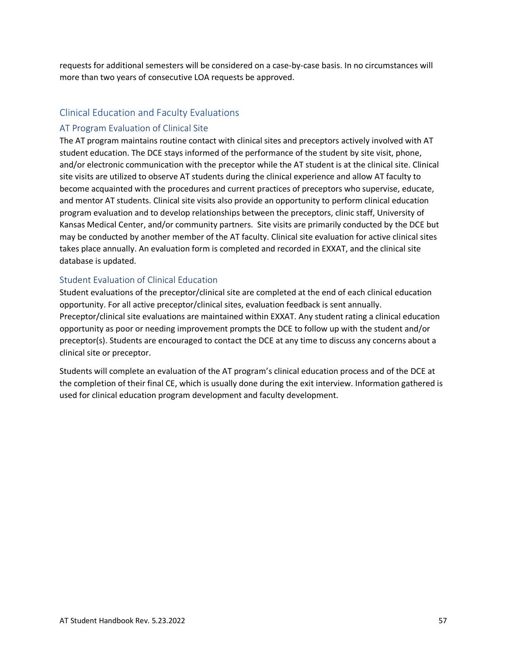requests for additional semesters will be considered on a case-by-case basis. In no circumstances will more than two years of consecutive LOA requests be approved.

#### <span id="page-62-0"></span>Clinical Education and Faculty Evaluations

#### AT Program Evaluation of Clinical Site

The AT program maintains routine contact with clinical sites and preceptors actively involved with AT student education. The DCE stays informed of the performance of the student by site visit, phone, and/or electronic communication with the preceptor while the AT student is at the clinical site. Clinical site visits are utilized to observe AT students during the clinical experience and allow AT faculty to become acquainted with the procedures and current practices of preceptors who supervise, educate, and mentor AT students. Clinical site visits also provide an opportunity to perform clinical education program evaluation and to develop relationships between the preceptors, clinic staff, University of Kansas Medical Center, and/or community partners. Site visits are primarily conducted by the DCE but may be conducted by another member of the AT faculty. Clinical site evaluation for active clinical sites takes place annually. An evaluation form is completed and recorded in EXXAT, and the clinical site database is updated.

#### Student Evaluation of Clinical Education

Student evaluations of the preceptor/clinical site are completed at the end of each clinical education opportunity. For all active preceptor/clinical sites, evaluation feedback is sent annually. Preceptor/clinical site evaluations are maintained within EXXAT. Any student rating a clinical education opportunity as poor or needing improvement prompts the DCE to follow up with the student and/or preceptor(s). Students are encouraged to contact the DCE at any time to discuss any concerns about a clinical site or preceptor.

Students will complete an evaluation of the AT program's clinical education process and of the DCE at the completion of their final CE, which is usually done during the exit interview. Information gathered is used for clinical education program development and faculty development.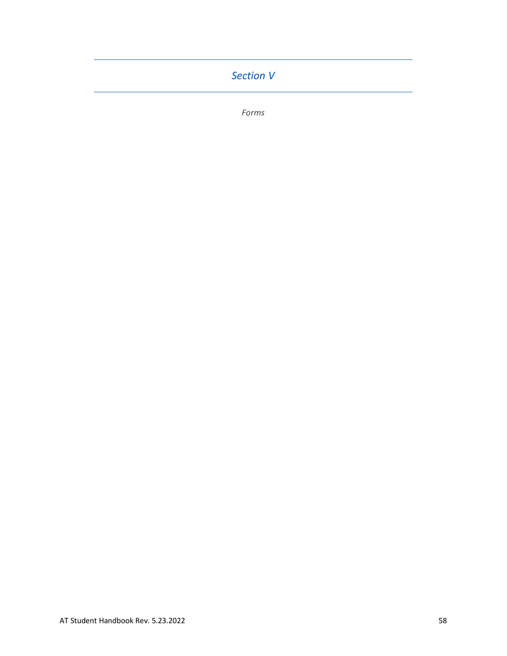# <span id="page-63-0"></span>*Section V*

*Forms*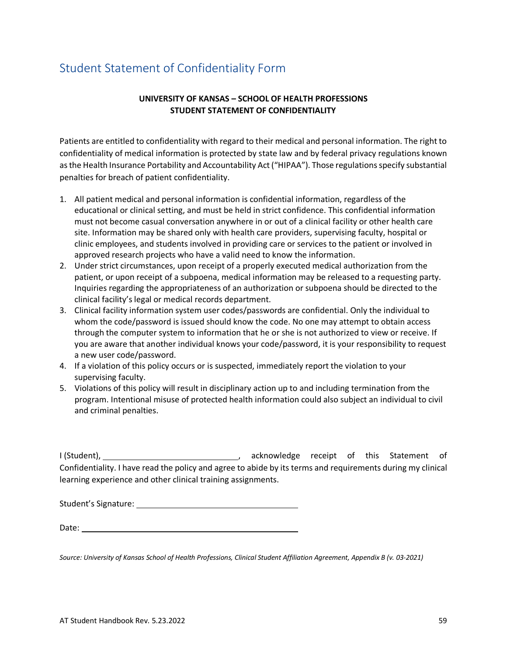# <span id="page-64-0"></span>Student Statement of Confidentiality Form

#### **UNIVERSITY OF KANSAS – SCHOOL OF HEALTH PROFESSIONS STUDENT STATEMENT OF CONFIDENTIALITY**

Patients are entitled to confidentiality with regard to their medical and personal information. The right to confidentiality of medical information is protected by state law and by federal privacy regulations known as the Health Insurance Portability and Accountability Act ("HIPAA"). Those regulations specify substantial penalties for breach of patient confidentiality.

- 1. All patient medical and personal information is confidential information, regardless of the educational or clinical setting, and must be held in strict confidence. This confidential information must not become casual conversation anywhere in or out of a clinical facility or other health care site. Information may be shared only with health care providers, supervising faculty, hospital or clinic employees, and students involved in providing care or services to the patient or involved in approved research projects who have a valid need to know the information.
- 2. Under strict circumstances, upon receipt of a properly executed medical authorization from the patient, or upon receipt of a subpoena, medical information may be released to a requesting party. Inquiries regarding the appropriateness of an authorization or subpoena should be directed to the clinical facility's legal or medical records department.
- 3. Clinical facility information system user codes/passwords are confidential. Only the individual to whom the code/password is issued should know the code. No one may attempt to obtain access through the computer system to information that he or she is not authorized to view or receive. If you are aware that another individual knows your code/password, it is your responsibility to request a new user code/password.
- 4. If a violation of this policy occurs or is suspected, immediately report the violation to your supervising faculty.
- 5. Violations of this policy will result in disciplinary action up to and including termination from the program. Intentional misuse of protected health information could also subject an individual to civil and criminal penalties.

I (Student), acknowledge receipt of this Statement of Confidentiality. I have read the policy and agree to abide by its terms and requirements during my clinical learning experience and other clinical training assignments.

Student's Signature: Management of the Student's Signature:

*Source: University of Kansas School of Health Professions, Clinical Student Affiliation Agreement, Appendix B (v. 03-2021)*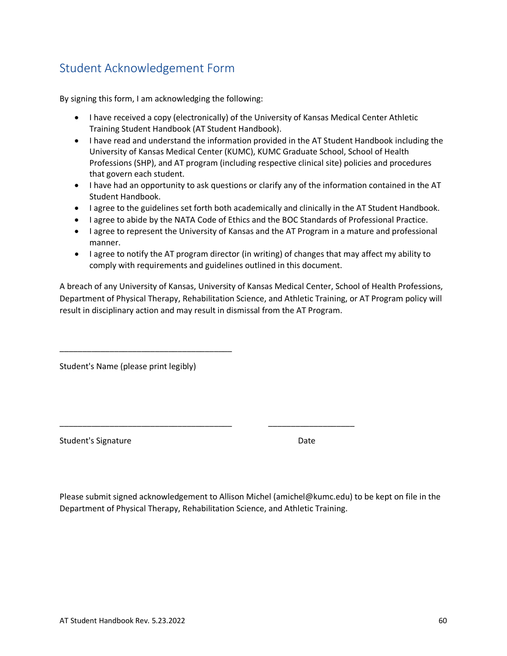# <span id="page-65-0"></span>Student Acknowledgement Form

By signing this form, I am acknowledging the following:

- I have received a copy (electronically) of the University of Kansas Medical Center Athletic Training Student Handbook (AT Student Handbook).
- I have read and understand the information provided in the AT Student Handbook including the University of Kansas Medical Center (KUMC), KUMC Graduate School, School of Health Professions (SHP), and AT program (including respective clinical site) policies and procedures that govern each student.
- I have had an opportunity to ask questions or clarify any of the information contained in the AT Student Handbook.
- I agree to the guidelines set forth both academically and clinically in the AT Student Handbook.
- I agree to abide by the NATA Code of Ethics and the BOC Standards of Professional Practice.
- I agree to represent the University of Kansas and the AT Program in a mature and professional manner.
- I agree to notify the AT program director (in writing) of changes that may affect my ability to comply with requirements and guidelines outlined in this document.

A breach of any University of Kansas, University of Kansas Medical Center, School of Health Professions, Department of Physical Therapy, Rehabilitation Science, and Athletic Training, or AT Program policy will result in disciplinary action and may result in dismissal from the AT Program.

Student's Name (please print legibly)

\_\_\_\_\_\_\_\_\_\_\_\_\_\_\_\_\_\_\_\_\_\_\_\_\_\_\_\_\_\_\_\_\_\_\_\_\_\_

Student's Signature Date Date

Please submit signed acknowledgement to Allison Michel (amichel@kumc.edu) to be kept on file in the Department of Physical Therapy, Rehabilitation Science, and Athletic Training.

\_\_\_\_\_\_\_\_\_\_\_\_\_\_\_\_\_\_\_\_\_\_\_\_\_\_\_\_\_\_\_\_\_\_\_\_\_\_ \_\_\_\_\_\_\_\_\_\_\_\_\_\_\_\_\_\_\_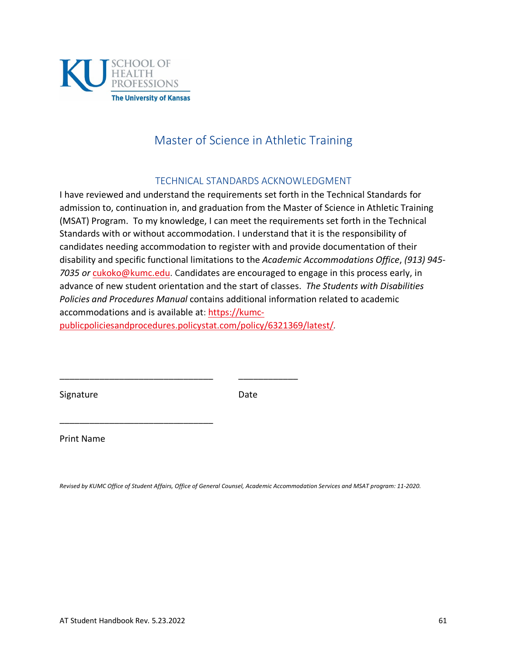

# Master of Science in Athletic Training

#### TECHNICAL STANDARDS ACKNOWLEDGMENT

<span id="page-66-0"></span>I have reviewed and understand the requirements set forth in the Technical Standards for admission to, continuation in, and graduation from the Master of Science in Athletic Training (MSAT) Program. To my knowledge, I can meet the requirements set forth in the Technical Standards with or without accommodation. I understand that it is the responsibility of candidates needing accommodation to register with and provide documentation of their disability and specific functional limitations to the *Academic Accommodations Office*, *(913) 945- 7035 or* [cukoko@kumc.edu.](mailto:cukoko@kumc.edu) Candidates are encouraged to engage in this process early, in advance of new student orientation and the start of classes. *The Students with Disabilities Policies and Procedures Manual* contains additional information related to academic accommodations and is available at: [https://kumc](https://kumc-publicpoliciesandprocedures.policystat.com/policy/6321369/latest/)[publicpoliciesandprocedures.policystat.com/policy/6321369/latest/](https://kumc-publicpoliciesandprocedures.policystat.com/policy/6321369/latest/)*.* 

Signature Date

\_\_\_\_\_\_\_\_\_\_\_\_\_\_\_\_\_\_\_\_\_\_\_\_\_\_\_\_\_\_\_ \_\_\_\_\_\_\_\_\_\_\_\_

\_\_\_\_\_\_\_\_\_\_\_\_\_\_\_\_\_\_\_\_\_\_\_\_\_\_\_\_\_\_\_

Print Name

*Revised by KUMC Office of Student Affairs, Office of General Counsel, Academic Accommodation Services and MSAT program: 11-2020.*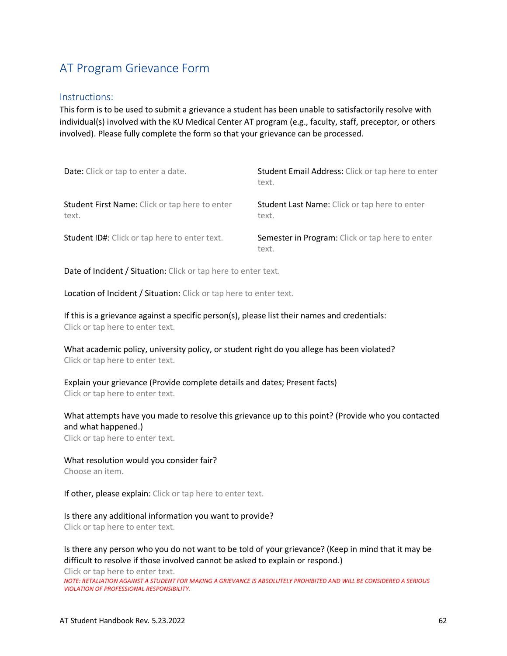# <span id="page-67-0"></span>AT Program Grievance Form

#### Instructions:

This form is to be used to submit a grievance a student has been unable to satisfactorily resolve with individual(s) involved with the KU Medical Center AT program (e.g., faculty, staff, preceptor, or others involved). Please fully complete the form so that your grievance can be processed.

| Date: Click or tap to enter a date.                     | Student Email Address: Click or tap here to enter<br>text.    |
|---------------------------------------------------------|---------------------------------------------------------------|
| Student First Name: Click or tap here to enter<br>text. | <b>Student Last Name:</b> Click or tap here to enter<br>text. |
| Student ID#: Click or tap here to enter text.           | Semester in Program: Click or tap here to enter<br>text.      |

Date of Incident / Situation: Click or tap here to enter text.

Location of Incident / Situation: Click or tap here to enter text.

If this is a grievance against a specific person(s), please list their names and credentials: Click or tap here to enter text.

What academic policy, university policy, or student right do you allege has been violated? Click or tap here to enter text.

Explain your grievance (Provide complete details and dates; Present facts) Click or tap here to enter text.

What attempts have you made to resolve this grievance up to this point? (Provide who you contacted and what happened.)

Click or tap here to enter text.

What resolution would you consider fair? Choose an item.

If other, please explain: Click or tap here to enter text.

Is there any additional information you want to provide? Click or tap here to enter text.

Is there any person who you do not want to be told of your grievance? (Keep in mind that it may be difficult to resolve if those involved cannot be asked to explain or respond.)

Click or tap here to enter text. *NOTE: RETALIATION AGAINST A STUDENT FOR MAKING A GRIEVANCE IS ABSOLUTELY PROHIBITED AND WILL BE CONSIDERED A SERIOUS VIOLATION OF PROFESSIONAL RESPONSIBILITY.*